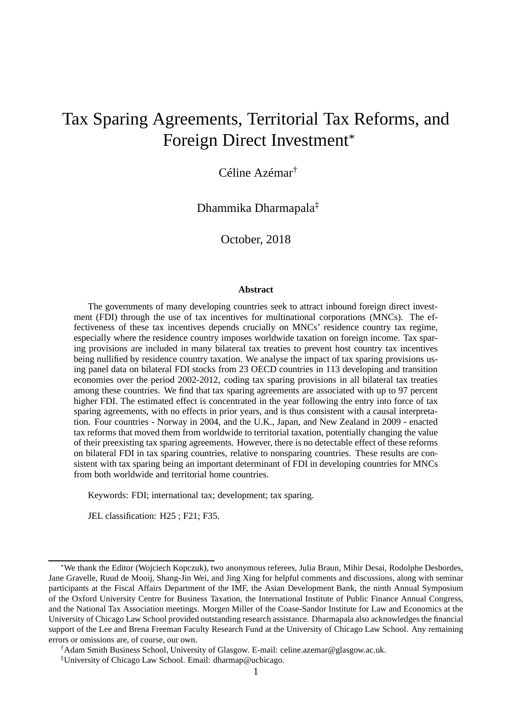# Tax Sparing Agreements, Territorial Tax Reforms, and Foreign Direct Investment\*

Céline Azémar†

Dhammika Dharmapala‡

October, 2018

#### **Abstract**

The governments of many developing countries seek to attract inbound foreign direct investment (FDI) through the use of tax incentives for multinational corporations (MNCs). The effectiveness of these tax incentives depends crucially on MNCs' residence country tax regime, especially where the residence country imposes worldwide taxation on foreign income. Tax sparing provisions are included in many bilateral tax treaties to prevent host country tax incentives being nullified by residence country taxation. We analyse the impact of tax sparing provisions using panel data on bilateral FDI stocks from 23 OECD countries in 113 developing and transition economies over the period 2002-2012, coding tax sparing provisions in all bilateral tax treaties among these countries. We find that tax sparing agreements are associated with up to 97 percent higher FDI. The estimated effect is concentrated in the year following the entry into force of tax sparing agreements, with no effects in prior years, and is thus consistent with a causal interpretation. Four countries - Norway in 2004, and the U.K., Japan, and New Zealand in 2009 - enacted tax reforms that moved them from worldwide to territorial taxation, potentially changing the value of their preexisting tax sparing agreements. However, there is no detectable effect of these reforms on bilateral FDI in tax sparing countries, relative to nonsparing countries. These results are consistent with tax sparing being an important determinant of FDI in developing countries for MNCs from both worldwide and territorial home countries.

Keywords: FDI; international tax; development; tax sparing.

JEL classification: H25 ; F21; F35.

<sup>\*</sup>We thank the Editor (Wojciech Kopczuk), two anonymous referees, Julia Braun, Mihir Desai, Rodolphe Desbordes, Jane Gravelle, Ruud de Mooij, Shang-Jin Wei, and Jing Xing for helpful comments and discussions, along with seminar participants at the Fiscal Affairs Department of the IMF, the Asian Development Bank, the ninth Annual Symposium of the Oxford University Centre for Business Taxation, the International Institute of Public Finance Annual Congress, and the National Tax Association meetings. Morgen Miller of the Coase-Sandor Institute for Law and Economics at the University of Chicago Law School provided outstanding research assistance. Dharmapala also acknowledges the financial support of the Lee and Brena Freeman Faculty Research Fund at the University of Chicago Law School. Any remaining errors or omissions are, of course, our own.

<sup>†</sup>Adam Smith Business School, University of Glasgow. E-mail: celine.azemar@glasgow.ac.uk.

<sup>‡</sup>University of Chicago Law School. Email: dharmap@uchicago.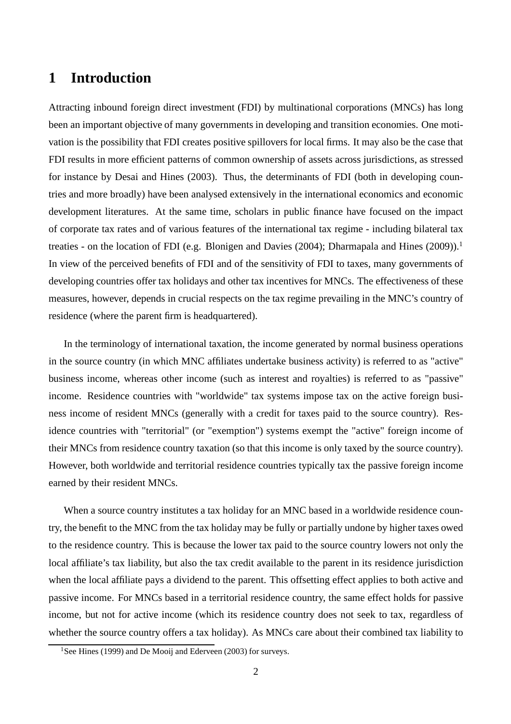# **1 Introduction**

Attracting inbound foreign direct investment (FDI) by multinational corporations (MNCs) has long been an important objective of many governments in developing and transition economies. One motivation is the possibility that FDI creates positive spillovers for local firms. It may also be the case that FDI results in more efficient patterns of common ownership of assets across jurisdictions, as stressed for instance by Desai and Hines (2003). Thus, the determinants of FDI (both in developing countries and more broadly) have been analysed extensively in the international economics and economic development literatures. At the same time, scholars in public finance have focused on the impact of corporate tax rates and of various features of the international tax regime - including bilateral tax treaties - on the location of FDI (e.g. Blonigen and Davies (2004); Dharmapala and Hines (2009)).<sup>1</sup> In view of the perceived benefits of FDI and of the sensitivity of FDI to taxes, many governments of developing countries offer tax holidays and other tax incentives for MNCs. The effectiveness of these measures, however, depends in crucial respects on the tax regime prevailing in the MNC's country of residence (where the parent firm is headquartered).

In the terminology of international taxation, the income generated by normal business operations in the source country (in which MNC affiliates undertake business activity) is referred to as "active" business income, whereas other income (such as interest and royalties) is referred to as "passive" income. Residence countries with "worldwide" tax systems impose tax on the active foreign business income of resident MNCs (generally with a credit for taxes paid to the source country). Residence countries with "territorial" (or "exemption") systems exempt the "active" foreign income of their MNCs from residence country taxation (so that this income is only taxed by the source country). However, both worldwide and territorial residence countries typically tax the passive foreign income earned by their resident MNCs.

When a source country institutes a tax holiday for an MNC based in a worldwide residence country, the benefit to the MNC from the tax holiday may be fully or partially undone by higher taxes owed to the residence country. This is because the lower tax paid to the source country lowers not only the local affiliate's tax liability, but also the tax credit available to the parent in its residence jurisdiction when the local affiliate pays a dividend to the parent. This offsetting effect applies to both active and passive income. For MNCs based in a territorial residence country, the same effect holds for passive income, but not for active income (which its residence country does not seek to tax, regardless of whether the source country offers a tax holiday). As MNCs care about their combined tax liability to

<sup>&</sup>lt;sup>1</sup>See Hines (1999) and De Mooij and Ederveen (2003) for surveys.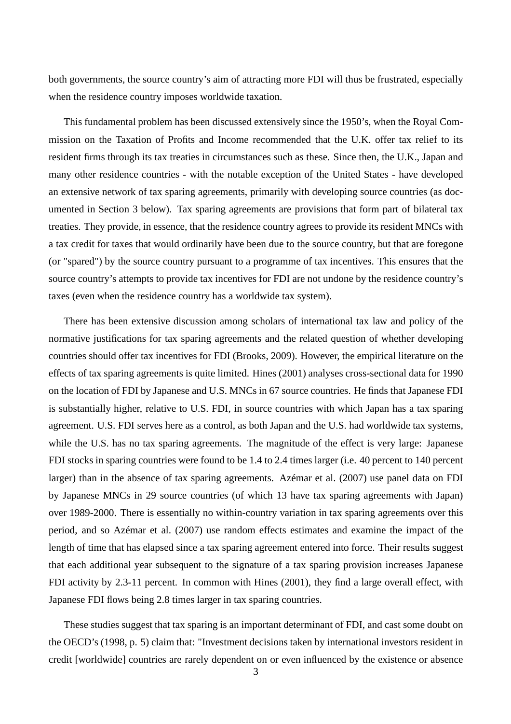both governments, the source country's aim of attracting more FDI will thus be frustrated, especially when the residence country imposes worldwide taxation.

This fundamental problem has been discussed extensively since the 1950's, when the Royal Commission on the Taxation of Profits and Income recommended that the U.K. offer tax relief to its resident firms through its tax treaties in circumstances such as these. Since then, the U.K., Japan and many other residence countries - with the notable exception of the United States - have developed an extensive network of tax sparing agreements, primarily with developing source countries (as documented in Section 3 below). Tax sparing agreements are provisions that form part of bilateral tax treaties. They provide, in essence, that the residence country agrees to provide its resident MNCs with a tax credit for taxes that would ordinarily have been due to the source country, but that are foregone (or "spared") by the source country pursuant to a programme of tax incentives. This ensures that the source country's attempts to provide tax incentives for FDI are not undone by the residence country's taxes (even when the residence country has a worldwide tax system).

There has been extensive discussion among scholars of international tax law and policy of the normative justifications for tax sparing agreements and the related question of whether developing countries should offer tax incentives for FDI (Brooks, 2009). However, the empirical literature on the effects of tax sparing agreements is quite limited. Hines (2001) analyses cross-sectional data for 1990 on the location of FDI by Japanese and U.S. MNCs in 67 source countries. He finds that Japanese FDI is substantially higher, relative to U.S. FDI, in source countries with which Japan has a tax sparing agreement. U.S. FDI serves here as a control, as both Japan and the U.S. had worldwide tax systems, while the U.S. has no tax sparing agreements. The magnitude of the effect is very large: Japanese FDI stocks in sparing countries were found to be 1.4 to 2.4 times larger (i.e. 40 percent to 140 percent larger) than in the absence of tax sparing agreements. Azémar et al. (2007) use panel data on FDI by Japanese MNCs in 29 source countries (of which 13 have tax sparing agreements with Japan) over 1989-2000. There is essentially no within-country variation in tax sparing agreements over this period, and so Azémar et al. (2007) use random effects estimates and examine the impact of the length of time that has elapsed since a tax sparing agreement entered into force. Their results suggest that each additional year subsequent to the signature of a tax sparing provision increases Japanese FDI activity by 2.3-11 percent. In common with Hines (2001), they find a large overall effect, with Japanese FDI flows being 2.8 times larger in tax sparing countries.

These studies suggest that tax sparing is an important determinant of FDI, and cast some doubt on the OECD's (1998, p. 5) claim that: "Investment decisions taken by international investors resident in credit [worldwide] countries are rarely dependent on or even influenced by the existence or absence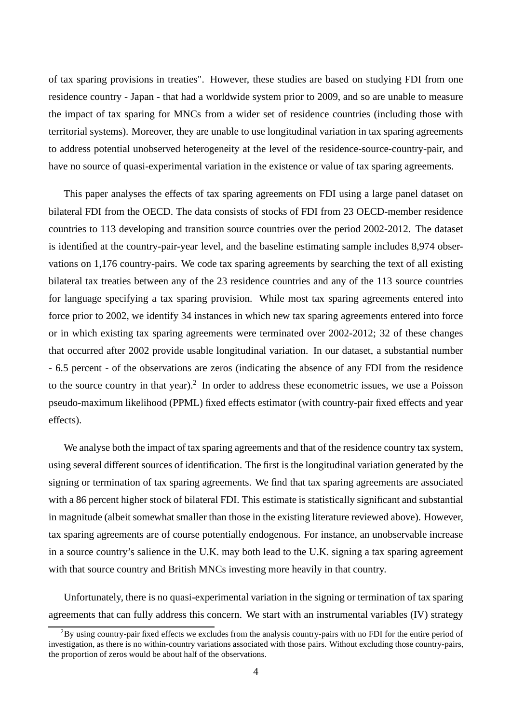of tax sparing provisions in treaties". However, these studies are based on studying FDI from one residence country - Japan - that had a worldwide system prior to 2009, and so are unable to measure the impact of tax sparing for MNCs from a wider set of residence countries (including those with territorial systems). Moreover, they are unable to use longitudinal variation in tax sparing agreements to address potential unobserved heterogeneity at the level of the residence-source-country-pair, and have no source of quasi-experimental variation in the existence or value of tax sparing agreements.

This paper analyses the effects of tax sparing agreements on FDI using a large panel dataset on bilateral FDI from the OECD. The data consists of stocks of FDI from 23 OECD-member residence countries to 113 developing and transition source countries over the period 2002-2012. The dataset is identified at the country-pair-year level, and the baseline estimating sample includes 8,974 observations on 1,176 country-pairs. We code tax sparing agreements by searching the text of all existing bilateral tax treaties between any of the 23 residence countries and any of the 113 source countries for language specifying a tax sparing provision. While most tax sparing agreements entered into force prior to 2002, we identify 34 instances in which new tax sparing agreements entered into force or in which existing tax sparing agreements were terminated over 2002-2012; 32 of these changes that occurred after 2002 provide usable longitudinal variation. In our dataset, a substantial number - 6.5 percent - of the observations are zeros (indicating the absence of any FDI from the residence to the source country in that year).<sup>2</sup> In order to address these econometric issues, we use a Poisson pseudo-maximum likelihood (PPML) fixed effects estimator (with country-pair fixed effects and year effects).

We analyse both the impact of tax sparing agreements and that of the residence country tax system, using several different sources of identification. The first is the longitudinal variation generated by the signing or termination of tax sparing agreements. We find that tax sparing agreements are associated with a 86 percent higher stock of bilateral FDI. This estimate is statistically significant and substantial in magnitude (albeit somewhat smaller than those in the existing literature reviewed above). However, tax sparing agreements are of course potentially endogenous. For instance, an unobservable increase in a source country's salience in the U.K. may both lead to the U.K. signing a tax sparing agreement with that source country and British MNCs investing more heavily in that country.

Unfortunately, there is no quasi-experimental variation in the signing or termination of tax sparing agreements that can fully address this concern. We start with an instrumental variables (IV) strategy

<sup>&</sup>lt;sup>2</sup>By using country-pair fixed effects we excludes from the analysis country-pairs with no FDI for the entire period of investigation, as there is no within-country variations associated with those pairs. Without excluding those country-pairs, the proportion of zeros would be about half of the observations.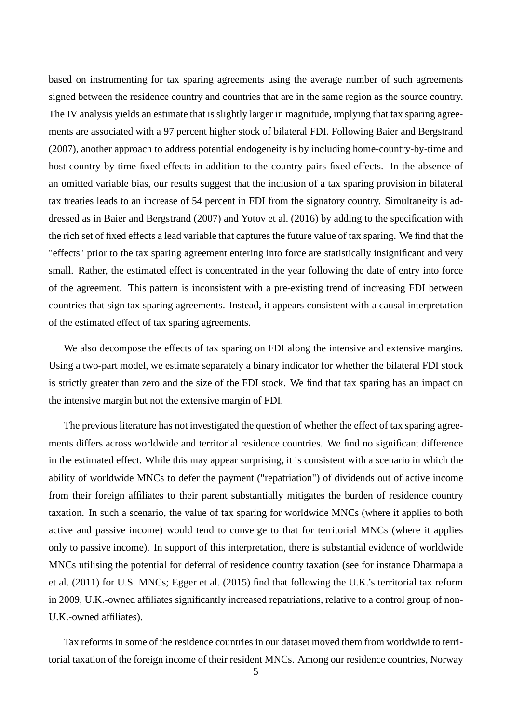based on instrumenting for tax sparing agreements using the average number of such agreements signed between the residence country and countries that are in the same region as the source country. The IV analysis yields an estimate that is slightly larger in magnitude, implying that tax sparing agreements are associated with a 97 percent higher stock of bilateral FDI. Following Baier and Bergstrand (2007), another approach to address potential endogeneity is by including home-country-by-time and host-country-by-time fixed effects in addition to the country-pairs fixed effects. In the absence of an omitted variable bias, our results suggest that the inclusion of a tax sparing provision in bilateral tax treaties leads to an increase of 54 percent in FDI from the signatory country. Simultaneity is addressed as in Baier and Bergstrand (2007) and Yotov et al. (2016) by adding to the specification with the rich set of fixed effects a lead variable that captures the future value of tax sparing. We find that the "effects" prior to the tax sparing agreement entering into force are statistically insignificant and very small. Rather, the estimated effect is concentrated in the year following the date of entry into force of the agreement. This pattern is inconsistent with a pre-existing trend of increasing FDI between countries that sign tax sparing agreements. Instead, it appears consistent with a causal interpretation of the estimated effect of tax sparing agreements.

We also decompose the effects of tax sparing on FDI along the intensive and extensive margins. Using a two-part model, we estimate separately a binary indicator for whether the bilateral FDI stock is strictly greater than zero and the size of the FDI stock. We find that tax sparing has an impact on the intensive margin but not the extensive margin of FDI.

The previous literature has not investigated the question of whether the effect of tax sparing agreements differs across worldwide and territorial residence countries. We find no significant difference in the estimated effect. While this may appear surprising, it is consistent with a scenario in which the ability of worldwide MNCs to defer the payment ("repatriation") of dividends out of active income from their foreign affiliates to their parent substantially mitigates the burden of residence country taxation. In such a scenario, the value of tax sparing for worldwide MNCs (where it applies to both active and passive income) would tend to converge to that for territorial MNCs (where it applies only to passive income). In support of this interpretation, there is substantial evidence of worldwide MNCs utilising the potential for deferral of residence country taxation (see for instance Dharmapala et al. (2011) for U.S. MNCs; Egger et al. (2015) find that following the U.K.'s territorial tax reform in 2009, U.K.-owned affiliates significantly increased repatriations, relative to a control group of non-U.K.-owned affiliates).

Tax reforms in some of the residence countries in our dataset moved them from worldwide to territorial taxation of the foreign income of their resident MNCs. Among our residence countries, Norway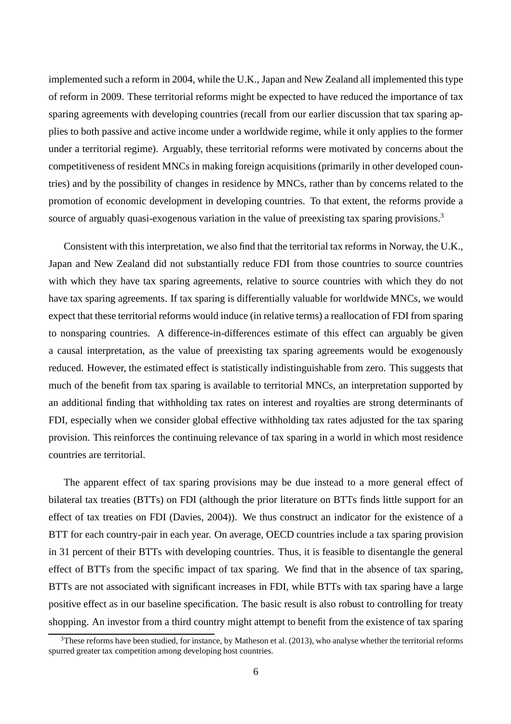implemented such a reform in 2004, while the U.K., Japan and New Zealand all implemented this type of reform in 2009. These territorial reforms might be expected to have reduced the importance of tax sparing agreements with developing countries (recall from our earlier discussion that tax sparing applies to both passive and active income under a worldwide regime, while it only applies to the former under a territorial regime). Arguably, these territorial reforms were motivated by concerns about the competitiveness of resident MNCs in making foreign acquisitions (primarily in other developed countries) and by the possibility of changes in residence by MNCs, rather than by concerns related to the promotion of economic development in developing countries. To that extent, the reforms provide a source of arguably quasi-exogenous variation in the value of preexisting tax sparing provisions.<sup>3</sup>

Consistent with this interpretation, we also find that the territorial tax reforms in Norway, the U.K., Japan and New Zealand did not substantially reduce FDI from those countries to source countries with which they have tax sparing agreements, relative to source countries with which they do not have tax sparing agreements. If tax sparing is differentially valuable for worldwide MNCs, we would expect that these territorial reforms would induce (in relative terms) a reallocation of FDI from sparing to nonsparing countries. A difference-in-differences estimate of this effect can arguably be given a causal interpretation, as the value of preexisting tax sparing agreements would be exogenously reduced. However, the estimated effect is statistically indistinguishable from zero. This suggests that much of the benefit from tax sparing is available to territorial MNCs, an interpretation supported by an additional finding that withholding tax rates on interest and royalties are strong determinants of FDI, especially when we consider global effective withholding tax rates adjusted for the tax sparing provision. This reinforces the continuing relevance of tax sparing in a world in which most residence countries are territorial.

The apparent effect of tax sparing provisions may be due instead to a more general effect of bilateral tax treaties (BTTs) on FDI (although the prior literature on BTTs finds little support for an effect of tax treaties on FDI (Davies, 2004)). We thus construct an indicator for the existence of a BTT for each country-pair in each year. On average, OECD countries include a tax sparing provision in 31 percent of their BTTs with developing countries. Thus, it is feasible to disentangle the general effect of BTTs from the specific impact of tax sparing. We find that in the absence of tax sparing, BTTs are not associated with significant increases in FDI, while BTTs with tax sparing have a large positive effect as in our baseline specification. The basic result is also robust to controlling for treaty shopping. An investor from a third country might attempt to benefit from the existence of tax sparing

 $3$ These reforms have been studied, for instance, by Matheson et al. (2013), who analyse whether the territorial reforms spurred greater tax competition among developing host countries.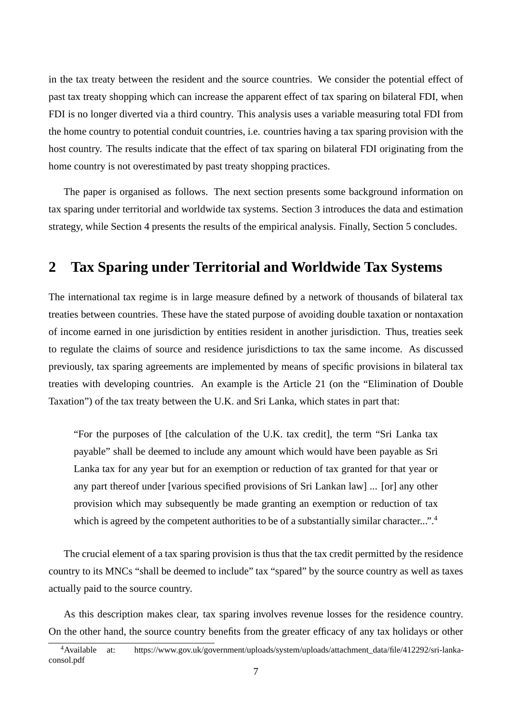in the tax treaty between the resident and the source countries. We consider the potential effect of past tax treaty shopping which can increase the apparent effect of tax sparing on bilateral FDI, when FDI is no longer diverted via a third country. This analysis uses a variable measuring total FDI from the home country to potential conduit countries, i.e. countries having a tax sparing provision with the host country. The results indicate that the effect of tax sparing on bilateral FDI originating from the home country is not overestimated by past treaty shopping practices.

The paper is organised as follows. The next section presents some background information on tax sparing under territorial and worldwide tax systems. Section 3 introduces the data and estimation strategy, while Section 4 presents the results of the empirical analysis. Finally, Section 5 concludes.

# **2 Tax Sparing under Territorial and Worldwide Tax Systems**

The international tax regime is in large measure defined by a network of thousands of bilateral tax treaties between countries. These have the stated purpose of avoiding double taxation or nontaxation of income earned in one jurisdiction by entities resident in another jurisdiction. Thus, treaties seek to regulate the claims of source and residence jurisdictions to tax the same income. As discussed previously, tax sparing agreements are implemented by means of specific provisions in bilateral tax treaties with developing countries. An example is the Article 21 (on the "Elimination of Double Taxation") of the tax treaty between the U.K. and Sri Lanka, which states in part that:

"For the purposes of [the calculation of the U.K. tax credit], the term "Sri Lanka tax payable" shall be deemed to include any amount which would have been payable as Sri Lanka tax for any year but for an exemption or reduction of tax granted for that year or any part thereof under [various specified provisions of Sri Lankan law] ... [or] any other provision which may subsequently be made granting an exemption or reduction of tax which is agreed by the competent authorities to be of a substantially similar character...".<sup>4</sup>

The crucial element of a tax sparing provision is thus that the tax credit permitted by the residence country to its MNCs "shall be deemed to include" tax "spared" by the source country as well as taxes actually paid to the source country.

As this description makes clear, tax sparing involves revenue losses for the residence country. On the other hand, the source country benefits from the greater efficacy of any tax holidays or other

<sup>4</sup>Available at: https://www.gov.uk/government/uploads/system/uploads/attachment\_data/file/412292/sri-lankaconsol.pdf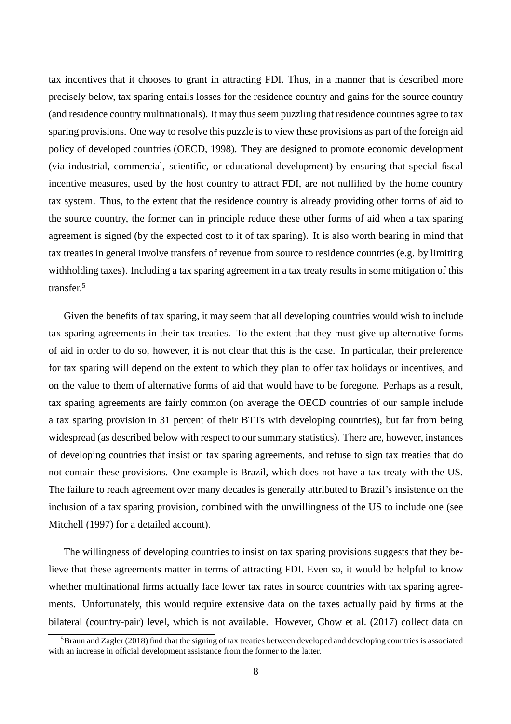tax incentives that it chooses to grant in attracting FDI. Thus, in a manner that is described more precisely below, tax sparing entails losses for the residence country and gains for the source country (and residence country multinationals). It may thus seem puzzling that residence countries agree to tax sparing provisions. One way to resolve this puzzle is to view these provisions as part of the foreign aid policy of developed countries (OECD, 1998). They are designed to promote economic development (via industrial, commercial, scientific, or educational development) by ensuring that special fiscal incentive measures, used by the host country to attract FDI, are not nullified by the home country tax system. Thus, to the extent that the residence country is already providing other forms of aid to the source country, the former can in principle reduce these other forms of aid when a tax sparing agreement is signed (by the expected cost to it of tax sparing). It is also worth bearing in mind that tax treaties in general involve transfers of revenue from source to residence countries (e.g. by limiting withholding taxes). Including a tax sparing agreement in a tax treaty results in some mitigation of this transfer.<sup>5</sup>

Given the benefits of tax sparing, it may seem that all developing countries would wish to include tax sparing agreements in their tax treaties. To the extent that they must give up alternative forms of aid in order to do so, however, it is not clear that this is the case. In particular, their preference for tax sparing will depend on the extent to which they plan to offer tax holidays or incentives, and on the value to them of alternative forms of aid that would have to be foregone. Perhaps as a result, tax sparing agreements are fairly common (on average the OECD countries of our sample include a tax sparing provision in 31 percent of their BTTs with developing countries), but far from being widespread (as described below with respect to our summary statistics). There are, however, instances of developing countries that insist on tax sparing agreements, and refuse to sign tax treaties that do not contain these provisions. One example is Brazil, which does not have a tax treaty with the US. The failure to reach agreement over many decades is generally attributed to Brazil's insistence on the inclusion of a tax sparing provision, combined with the unwillingness of the US to include one (see Mitchell (1997) for a detailed account).

The willingness of developing countries to insist on tax sparing provisions suggests that they believe that these agreements matter in terms of attracting FDI. Even so, it would be helpful to know whether multinational firms actually face lower tax rates in source countries with tax sparing agreements. Unfortunately, this would require extensive data on the taxes actually paid by firms at the bilateral (country-pair) level, which is not available. However, Chow et al. (2017) collect data on

 $5B$ raun and Zagler (2018) find that the signing of tax treaties between developed and developing countries is associated with an increase in official development assistance from the former to the latter.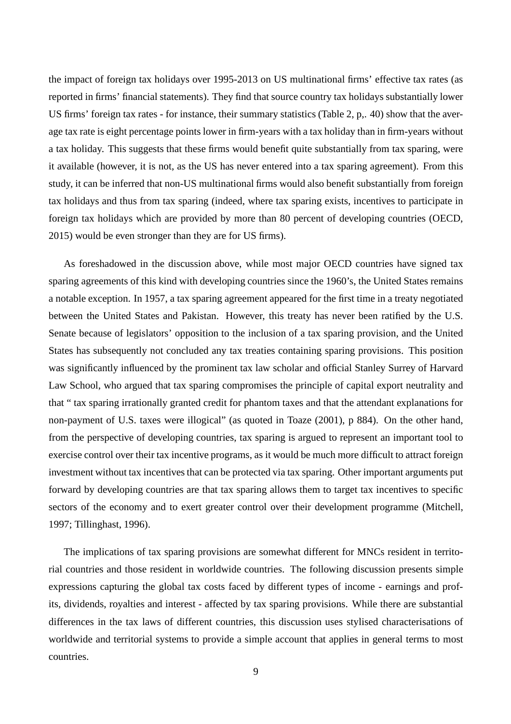the impact of foreign tax holidays over 1995-2013 on US multinational firms' effective tax rates (as reported in firms' financial statements). They find that source country tax holidays substantially lower US firms' foreign tax rates - for instance, their summary statistics (Table 2, p,. 40) show that the average tax rate is eight percentage points lower in firm-years with a tax holiday than in firm-years without a tax holiday. This suggests that these firms would benefit quite substantially from tax sparing, were it available (however, it is not, as the US has never entered into a tax sparing agreement). From this study, it can be inferred that non-US multinational firms would also benefit substantially from foreign tax holidays and thus from tax sparing (indeed, where tax sparing exists, incentives to participate in foreign tax holidays which are provided by more than 80 percent of developing countries (OECD, 2015) would be even stronger than they are for US firms).

As foreshadowed in the discussion above, while most major OECD countries have signed tax sparing agreements of this kind with developing countries since the 1960's, the United States remains a notable exception. In 1957, a tax sparing agreement appeared for the first time in a treaty negotiated between the United States and Pakistan. However, this treaty has never been ratified by the U.S. Senate because of legislators' opposition to the inclusion of a tax sparing provision, and the United States has subsequently not concluded any tax treaties containing sparing provisions. This position was significantly influenced by the prominent tax law scholar and official Stanley Surrey of Harvard Law School, who argued that tax sparing compromises the principle of capital export neutrality and that " tax sparing irrationally granted credit for phantom taxes and that the attendant explanations for non-payment of U.S. taxes were illogical" (as quoted in Toaze (2001), p 884). On the other hand, from the perspective of developing countries, tax sparing is argued to represent an important tool to exercise control over their tax incentive programs, as it would be much more difficult to attract foreign investment without tax incentives that can be protected via tax sparing. Other important arguments put forward by developing countries are that tax sparing allows them to target tax incentives to specific sectors of the economy and to exert greater control over their development programme (Mitchell, 1997; Tillinghast, 1996).

The implications of tax sparing provisions are somewhat different for MNCs resident in territorial countries and those resident in worldwide countries. The following discussion presents simple expressions capturing the global tax costs faced by different types of income - earnings and profits, dividends, royalties and interest - affected by tax sparing provisions. While there are substantial differences in the tax laws of different countries, this discussion uses stylised characterisations of worldwide and territorial systems to provide a simple account that applies in general terms to most countries.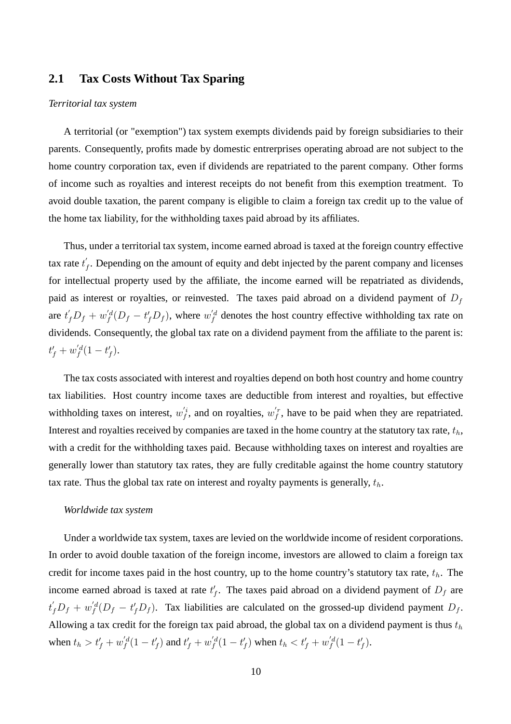## **2.1 Tax Costs Without Tax Sparing**

#### *Territorial tax system*

A territorial (or "exemption") tax system exempts dividends paid by foreign subsidiaries to their parents. Consequently, profits made by domestic entrerprises operating abroad are not subject to the home country corporation tax, even if dividends are repatriated to the parent company. Other forms of income such as royalties and interest receipts do not benefit from this exemption treatment. To avoid double taxation, the parent company is eligible to claim a foreign tax credit up to the value of the home tax liability, for the withholding taxes paid abroad by its affiliates.

Thus, under a territorial tax system, income earned abroad is taxed at the foreign country effective tax rate  $t'$  $f_f$ . Depending on the amount of equity and debt injected by the parent company and licenses for intellectual property used by the affiliate, the income earned will be repatriated as dividends, paid as interest or royalties, or reinvested. The taxes paid abroad on a dividend payment of  $D_f$ are  $t_f' D_f + w_f'^d (D_f - t_f' D_f)$ , where  $w_f'^d$  denotes the host country effective withholding tax rate on dividends. Consequently, the global tax rate on a dividend payment from the affiliate to the parent is:  $t'_{f} + w'_{f}^{d}(1-t'_{f}).$ 

The tax costs associated with interest and royalties depend on both host country and home country tax liabilities. Host country income taxes are deductible from interest and royalties, but effective withholding taxes on interest,  $w_f^i$ , and on royalties,  $w_f^i$ , have to be paid when they are repatriated. Interest and royalties received by companies are taxed in the home country at the statutory tax rate,  $t<sub>h</sub>$ , with a credit for the withholding taxes paid. Because withholding taxes on interest and royalties are generally lower than statutory tax rates, they are fully creditable against the home country statutory tax rate. Thus the global tax rate on interest and royalty payments is generally,  $t_h$ .

#### *Worldwide tax system*

Under a worldwide tax system, taxes are levied on the worldwide income of resident corporations. In order to avoid double taxation of the foreign income, investors are allowed to claim a foreign tax credit for income taxes paid in the host country, up to the home country's statutory tax rate,  $t<sub>h</sub>$ . The income earned abroad is taxed at rate  $t'_{f}$ . The taxes paid abroad on a dividend payment of  $D_f$  are  $t'_f D_f + w_f'^d (D_f - t'_f D_f)$ . Tax liabilities are calculated on the grossed-up dividend payment  $D_f$ . Allowing a tax credit for the foreign tax paid abroad, the global tax on a dividend payment is thus  $t<sub>h</sub>$ when  $t_h > t_f' + w_f'^d(1 - t_f')$  and  $t_f' + w_f'^d(1 - t_f')$  when  $t_h < t_f' + w_f'^d(1 - t_f')$ .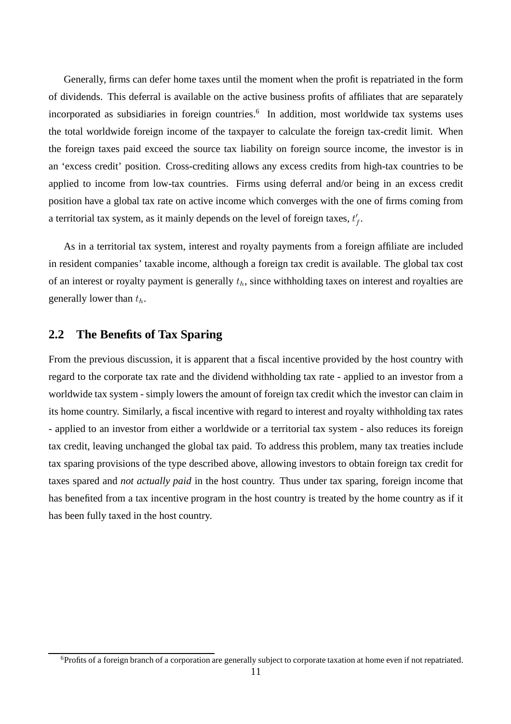Generally, firms can defer home taxes until the moment when the profit is repatriated in the form of dividends. This deferral is available on the active business profits of affiliates that are separately incorporated as subsidiaries in foreign countries.<sup>6</sup> In addition, most worldwide tax systems uses the total worldwide foreign income of the taxpayer to calculate the foreign tax-credit limit. When the foreign taxes paid exceed the source tax liability on foreign source income, the investor is in an 'excess credit' position. Cross-crediting allows any excess credits from high-tax countries to be applied to income from low-tax countries. Firms using deferral and/or being in an excess credit position have a global tax rate on active income which converges with the one of firms coming from a territorial tax system, as it mainly depends on the level of foreign taxes,  $t_f'$ .

As in a territorial tax system, interest and royalty payments from a foreign affiliate are included in resident companies' taxable income, although a foreign tax credit is available. The global tax cost of an interest or royalty payment is generally  $t<sub>h</sub>$ , since withholding taxes on interest and royalties are generally lower than  $t_h$ .

# **2.2 The Benefits of Tax Sparing**

From the previous discussion, it is apparent that a fiscal incentive provided by the host country with regard to the corporate tax rate and the dividend withholding tax rate - applied to an investor from a worldwide tax system - simply lowers the amount of foreign tax credit which the investor can claim in its home country. Similarly, a fiscal incentive with regard to interest and royalty withholding tax rates - applied to an investor from either a worldwide or a territorial tax system - also reduces its foreign tax credit, leaving unchanged the global tax paid. To address this problem, many tax treaties include tax sparing provisions of the type described above, allowing investors to obtain foreign tax credit for taxes spared and *not actually paid* in the host country. Thus under tax sparing, foreign income that has benefited from a tax incentive program in the host country is treated by the home country as if it has been fully taxed in the host country.

<sup>6</sup>Profits of a foreign branch of a corporation are generally subject to corporate taxation at home even if not repatriated.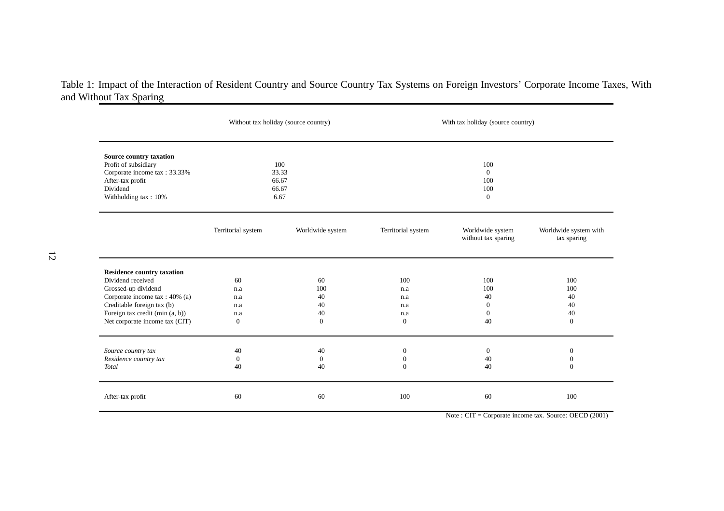# Table 1: Impact of the Interaction of Resident Country and Source Country Tax Systems on Foreign Investors' Corporate Income Taxes, Withand Without Tax Sparing

|                                                                                                                                         |                        | Without tax holiday (source country) | With tax holiday (source country) |                                           |                                      |  |
|-----------------------------------------------------------------------------------------------------------------------------------------|------------------------|--------------------------------------|-----------------------------------|-------------------------------------------|--------------------------------------|--|
| Source country taxation<br>Profit of subsidiary<br>Corporate income tax: 33.33%<br>After-tax profit<br>Dividend<br>Withholding tax: 10% | 66.67<br>66.67<br>6.67 | 100<br>33.33                         |                                   | 100<br>$\theta$<br>100<br>100<br>$\theta$ |                                      |  |
|                                                                                                                                         | Territorial system     | Worldwide system                     | Territorial system                | Worldwide system<br>without tax sparing   | Worldwide system with<br>tax sparing |  |
| <b>Residence country taxation</b>                                                                                                       |                        |                                      |                                   |                                           |                                      |  |
| Dividend received                                                                                                                       | 60                     | 60                                   | 100                               | 100                                       | 100                                  |  |
| Grossed-up dividend                                                                                                                     | n.a                    | 100                                  | n.a                               | 100                                       | 100                                  |  |
| Corporate income tax: 40% (a)                                                                                                           | n.a                    | 40                                   | n.a                               | 40                                        | 40                                   |  |
| Creditable foreign tax (b)                                                                                                              | n.a                    | 40                                   | n.a                               | $\theta$                                  | 40                                   |  |
| Foreign tax credit (min (a, b))                                                                                                         | n.a                    | 40                                   | n.a                               | $\theta$<br>40                            | 40                                   |  |
| Net corporate income tax (CIT)                                                                                                          | $\mathbf{0}$           | $\theta$                             | $\theta$                          | $\theta$                                  |                                      |  |
| Source country tax                                                                                                                      | 40                     | 40                                   | $\mathbf{0}$                      | $\theta$                                  | $\boldsymbol{0}$                     |  |
| Residence country tax                                                                                                                   | $\mathbf{0}$           | $\theta$                             | $\mathbf{0}$                      | 40                                        | $\mathbf{0}$                         |  |
| Total                                                                                                                                   | 40                     | 40                                   | $\overline{0}$                    | 40                                        | $\mathbf{0}$                         |  |
| After-tax profit                                                                                                                        | 60                     | 60                                   | 100                               | 60                                        | 100                                  |  |

Note : CIT <sup>=</sup> Corporate income tax. Source: OECD (2001)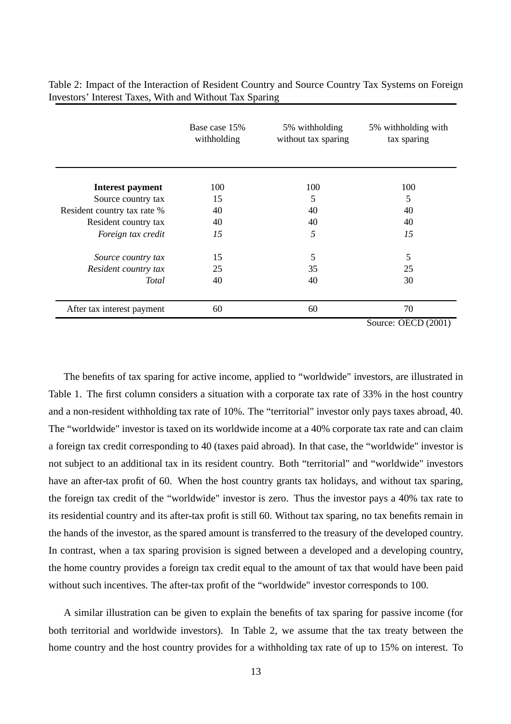|                             | Base case 15%<br>withholding | 5% withholding<br>without tax sparing | 5% withholding with<br>tax sparing |
|-----------------------------|------------------------------|---------------------------------------|------------------------------------|
| <b>Interest payment</b>     | 100                          | 100                                   | 100                                |
| Source country tax          | 15                           | 5                                     | 5                                  |
| Resident country tax rate % | 40                           | 40                                    | 40                                 |
| Resident country tax        | 40                           | 40                                    | 40                                 |
| Foreign tax credit          | 15                           | 5                                     | 15                                 |
| Source country tax          | 15                           | 5                                     | 5                                  |
| Resident country tax        | 25                           | 35                                    | 25                                 |
| Total                       | 40                           | 40                                    | 30                                 |
| After tax interest payment  | 60                           | 60                                    | 70                                 |
|                             |                              |                                       | Source: OECD (2001)                |

Table 2: Impact of the Interaction of Resident Country and Source Country Tax Systems on Foreign Investors' Interest Taxes, With and Without Tax Sparing

The benefits of tax sparing for active income, applied to "worldwide" investors, are illustrated in Table 1. The first column considers a situation with a corporate tax rate of 33% in the host country and a non-resident withholding tax rate of 10%. The "territorial" investor only pays taxes abroad, 40. The "worldwide" investor is taxed on its worldwide income at a 40% corporate tax rate and can claim a foreign tax credit corresponding to 40 (taxes paid abroad). In that case, the "worldwide" investor is not subject to an additional tax in its resident country. Both "territorial" and "worldwide" investors have an after-tax profit of 60. When the host country grants tax holidays, and without tax sparing, the foreign tax credit of the "worldwide" investor is zero. Thus the investor pays a 40% tax rate to its residential country and its after-tax profit is still 60. Without tax sparing, no tax benefits remain in the hands of the investor, as the spared amount is transferred to the treasury of the developed country. In contrast, when a tax sparing provision is signed between a developed and a developing country, the home country provides a foreign tax credit equal to the amount of tax that would have been paid without such incentives. The after-tax profit of the "worldwide" investor corresponds to 100.

A similar illustration can be given to explain the benefits of tax sparing for passive income (for both territorial and worldwide investors). In Table 2, we assume that the tax treaty between the home country and the host country provides for a withholding tax rate of up to 15% on interest. To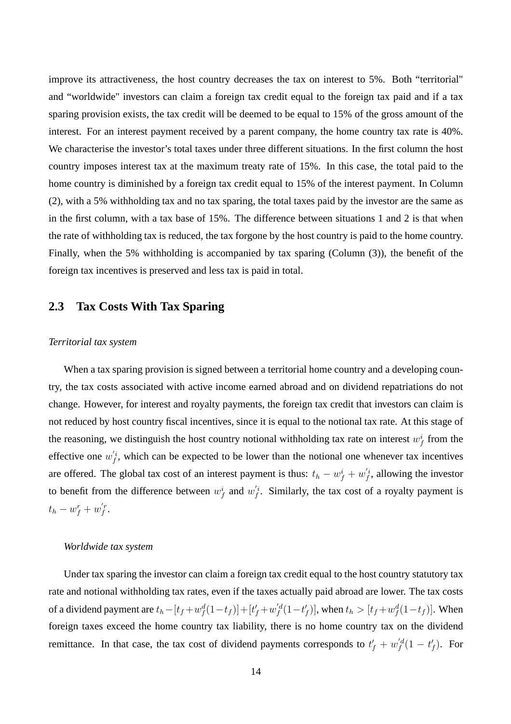improve its attractiveness, the host country decreases the tax on interest to 5%. Both "territorial" and "worldwide" investors can claim a foreign tax credit equal to the foreign tax paid and if a tax sparing provision exists, the tax credit will be deemed to be equal to 15% of the gross amount of the interest. For an interest payment received by a parent company, the home country tax rate is 40%. We characterise the investor's total taxes under three different situations. In the first column the host country imposes interest tax at the maximum treaty rate of 15%. In this case, the total paid to the home country is diminished by a foreign tax credit equal to 15% of the interest payment. In Column (2), with a 5% withholding tax and no tax sparing, the total taxes paid by the investor are the same as in the first column, with a tax base of 15%. The difference between situations 1 and 2 is that when the rate of withholding tax is reduced, the tax forgone by the host country is paid to the home country. Finally, when the 5% withholding is accompanied by tax sparing (Column (3)), the benefit of the foreign tax incentives is preserved and less tax is paid in total.

# **2.3 Tax Costs With Tax Sparing**

#### *Territorial tax system*

When a tax sparing provision is signed between a territorial home country and a developing country, the tax costs associated with active income earned abroad and on dividend repatriations do not change. However, for interest and royalty payments, the foreign tax credit that investors can claim is not reduced by host country fiscal incentives, since it is equal to the notional tax rate. At this stage of the reasoning, we distinguish the host country notional withholding tax rate on interest  $w_f^i$  from the effective one  $w_f^i$ , which can be expected to be lower than the notional one whenever tax incentives are offered. The global tax cost of an interest payment is thus:  $t_h - w_f^i + w_f'^i$ , allowing the investor to benefit from the difference between  $w_f^i$  and  $w_f'^i$ . Similarly, the tax cost of a royalty payment is  $t_h - w_f^r + w_f^{'r}.$ 

### *Worldwide tax system*

Under tax sparing the investor can claim a foreign tax credit equal to the host country statutory tax rate and notional withholding tax rates, even if the taxes actually paid abroad are lower. The tax costs of a dividend payment are  $t_h - [t_f + w_f^d(1-t_f)] + [t'_f + w_f^{'d}(1-t'_f)]$ , when  $t_h > [t_f + w_f^d(1-t_f)]$ . When foreign taxes exceed the home country tax liability, there is no home country tax on the dividend remittance. In that case, the tax cost of dividend payments corresponds to  $t'_{f} + w'^{d}_{f}(1 - t'_{f})$ . For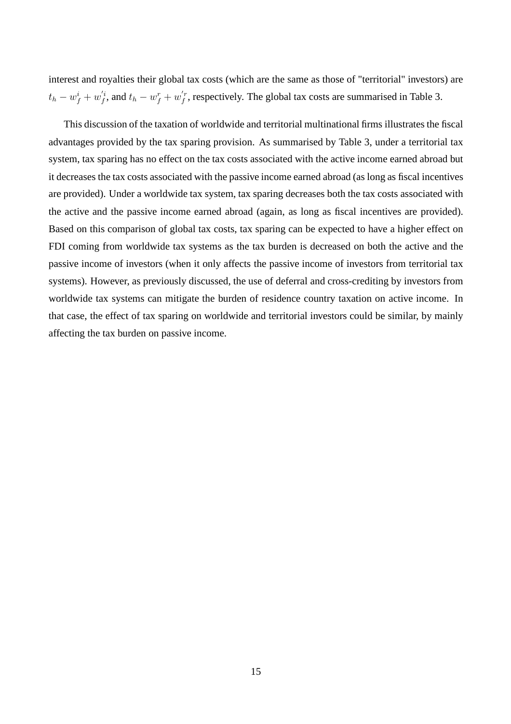interest and royalties their global tax costs (which are the same as those of "territorial" investors) are  $t_h - w_f^i + w_f^{i}$ , and  $t_h - w_f^r + w_f^{i}$ , respectively. The global tax costs are summarised in Table 3.

This discussion of the taxation of worldwide and territorial multinational firms illustrates the fiscal advantages provided by the tax sparing provision. As summarised by Table 3, under a territorial tax system, tax sparing has no effect on the tax costs associated with the active income earned abroad but it decreases the tax costs associated with the passive income earned abroad (as long as fiscal incentives are provided). Under a worldwide tax system, tax sparing decreases both the tax costs associated with the active and the passive income earned abroad (again, as long as fiscal incentives are provided). Based on this comparison of global tax costs, tax sparing can be expected to have a higher effect on FDI coming from worldwide tax systems as the tax burden is decreased on both the active and the passive income of investors (when it only affects the passive income of investors from territorial tax systems). However, as previously discussed, the use of deferral and cross-crediting by investors from worldwide tax systems can mitigate the burden of residence country taxation on active income. In that case, the effect of tax sparing on worldwide and territorial investors could be similar, by mainly affecting the tax burden on passive income.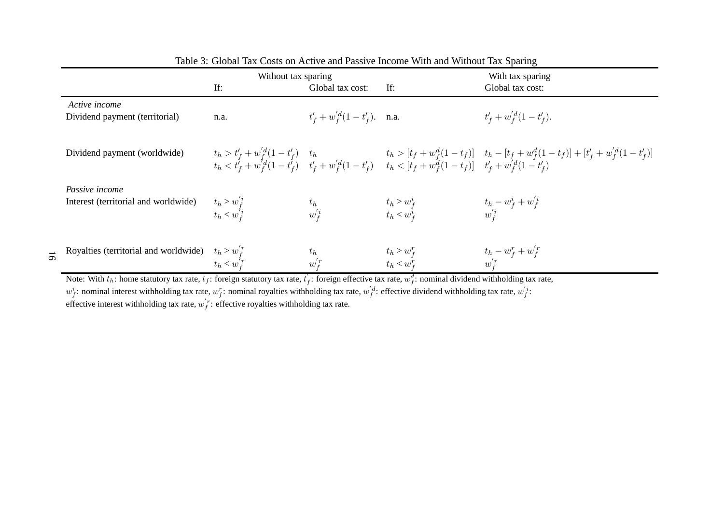|                                                        | Without tax sparing                  |                              | With tax sparing               |                                                                                                                                                                                                                                                                                  |  |
|--------------------------------------------------------|--------------------------------------|------------------------------|--------------------------------|----------------------------------------------------------------------------------------------------------------------------------------------------------------------------------------------------------------------------------------------------------------------------------|--|
|                                                        | If:                                  | Global tax cost:             | If:                            | Global tax cost:                                                                                                                                                                                                                                                                 |  |
| Active income<br>Dividend payment (territorial)        | n.a.                                 | $t'_f + w'_f(1-t'_f)$ . n.a. |                                | $t'_{f} + w'_{f}(1-t'_{f}).$                                                                                                                                                                                                                                                     |  |
| Dividend payment (worldwide)                           |                                      |                              |                                | $\begin{array}{llll} t_h > t'_f + w_f^{d}(1-t'_f) & t_h & t_h > [t_f + w_f^{d}(1-t_f)] & t_h - [t_f + w_f^{d}(1-t_f)] + [t'_f + w_f^{'d}(1-t'_f)] \\ t_h < t'_f + w_f^{d}(1-t'_f) & t'_f + w_f^{d}(1-t'_f) & t_h < [t_f + w_f^{d}(1-t_f)] & t'_f + w_f^{'d}(1-t'_f) \end{array}$ |  |
| Passive income<br>Interest (territorial and worldwide) | $t_h > w_f^{'i}$<br>$t_h < w_f^{'i}$ |                              | $t_h > w_f^i$<br>$t_h < w_f^i$ | $t_h-w_f^i+w_f^{'i} \ w_f^{'i}$                                                                                                                                                                                                                                                  |  |
| Royalties (territorial and worldwide) $t_h > w_f^{'r}$ | $t_h < w_T^{'r}$                     | w                            | $t_h > w_f^r$<br>$t_h < w_f^r$ | $t_h-w_f^r+w_f^{'r} \ w_f^{'r}$                                                                                                                                                                                                                                                  |  |

| Table 3: Global Tax Costs on Active and Passive Income With and Without Tax Sparing |  |  |  |
|-------------------------------------------------------------------------------------|--|--|--|
|-------------------------------------------------------------------------------------|--|--|--|

Note: With  $t_h$ : home statutory tax rate,  $t_f$ : foreign statutory tax rate,  $t'_f$ : foreign effective tax rate,  $w_f^d$ : nominal dividend wit

Note: With  $t_h$ : home statutory tax rate,  $t_f$ : foreign statutory tax rate,  $t_f$ : foreign effective tax rate,  $w_f^d$ : nominal dividend withholding tax rate,  $w_f^i$ :  $w_f^i$ : nominal interest withholding tax rate,  $w_f^r$ : n  $\int_{f}^{d}$ : effective dividend withholding tax rate, w  $j'$ :

effective interest withholding tax rate,  $w_f^r$ : effective royalties withholding tax rate.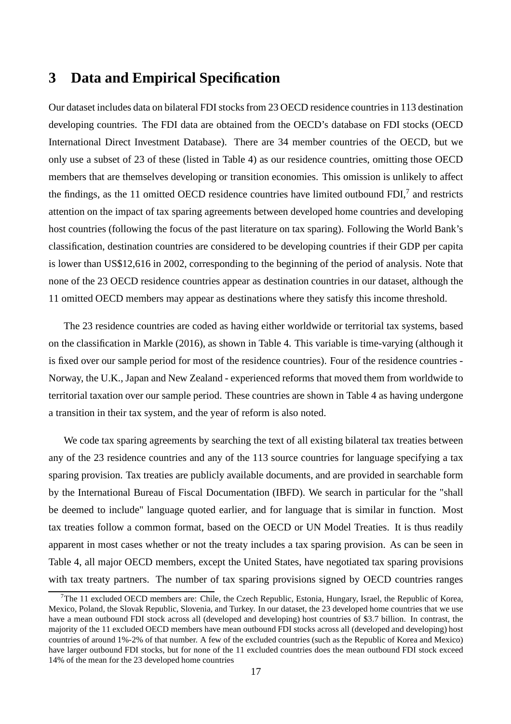# **3 Data and Empirical Specification**

Our dataset includes data on bilateral FDI stocks from 23 OECD residence countries in 113 destination developing countries. The FDI data are obtained from the OECD's database on FDI stocks (OECD International Direct Investment Database). There are 34 member countries of the OECD, but we only use a subset of 23 of these (listed in Table 4) as our residence countries, omitting those OECD members that are themselves developing or transition economies. This omission is unlikely to affect the findings, as the 11 omitted OECD residence countries have limited outbound FDI, $^7$  and restricts attention on the impact of tax sparing agreements between developed home countries and developing host countries (following the focus of the past literature on tax sparing). Following the World Bank's classification, destination countries are considered to be developing countries if their GDP per capita is lower than US\$12,616 in 2002, corresponding to the beginning of the period of analysis. Note that none of the 23 OECD residence countries appear as destination countries in our dataset, although the 11 omitted OECD members may appear as destinations where they satisfy this income threshold.

The 23 residence countries are coded as having either worldwide or territorial tax systems, based on the classification in Markle (2016), as shown in Table 4. This variable is time-varying (although it is fixed over our sample period for most of the residence countries). Four of the residence countries - Norway, the U.K., Japan and New Zealand - experienced reforms that moved them from worldwide to territorial taxation over our sample period. These countries are shown in Table 4 as having undergone a transition in their tax system, and the year of reform is also noted.

We code tax sparing agreements by searching the text of all existing bilateral tax treaties between any of the 23 residence countries and any of the 113 source countries for language specifying a tax sparing provision. Tax treaties are publicly available documents, and are provided in searchable form by the International Bureau of Fiscal Documentation (IBFD). We search in particular for the "shall be deemed to include" language quoted earlier, and for language that is similar in function. Most tax treaties follow a common format, based on the OECD or UN Model Treaties. It is thus readily apparent in most cases whether or not the treaty includes a tax sparing provision. As can be seen in Table 4, all major OECD members, except the United States, have negotiated tax sparing provisions with tax treaty partners. The number of tax sparing provisions signed by OECD countries ranges

<sup>&</sup>lt;sup>7</sup>The 11 excluded OECD members are: Chile, the Czech Republic, Estonia, Hungary, Israel, the Republic of Korea, Mexico, Poland, the Slovak Republic, Slovenia, and Turkey. In our dataset, the 23 developed home countries that we use have a mean outbound FDI stock across all (developed and developing) host countries of \$3.7 billion. In contrast, the majority of the 11 excluded OECD members have mean outbound FDI stocks across all (developed and developing) host countries of around 1%-2% of that number. A few of the excluded countries (such as the Republic of Korea and Mexico) have larger outbound FDI stocks, but for none of the 11 excluded countries does the mean outbound FDI stock exceed 14% of the mean for the 23 developed home countries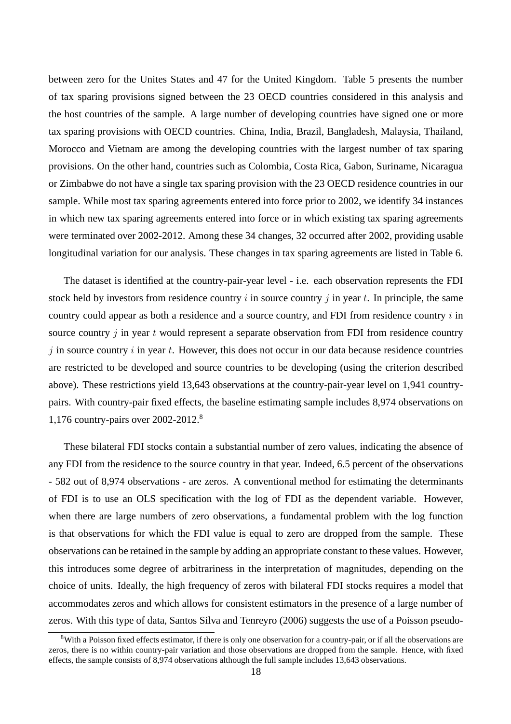between zero for the Unites States and 47 for the United Kingdom. Table 5 presents the number of tax sparing provisions signed between the 23 OECD countries considered in this analysis and the host countries of the sample. A large number of developing countries have signed one or more tax sparing provisions with OECD countries. China, India, Brazil, Bangladesh, Malaysia, Thailand, Morocco and Vietnam are among the developing countries with the largest number of tax sparing provisions. On the other hand, countries such as Colombia, Costa Rica, Gabon, Suriname, Nicaragua or Zimbabwe do not have a single tax sparing provision with the 23 OECD residence countries in our sample. While most tax sparing agreements entered into force prior to 2002, we identify 34 instances in which new tax sparing agreements entered into force or in which existing tax sparing agreements were terminated over 2002-2012. Among these 34 changes, 32 occurred after 2002, providing usable longitudinal variation for our analysis. These changes in tax sparing agreements are listed in Table 6.

The dataset is identified at the country-pair-year level - i.e. each observation represents the FDI stock held by investors from residence country  $i$  in source country  $j$  in year  $t$ . In principle, the same country could appear as both a residence and a source country, and FDI from residence country  $i$  in source country  $\dot{\gamma}$  in year t would represent a separate observation from FDI from residence country  $j$  in source country  $i$  in year  $t$ . However, this does not occur in our data because residence countries are restricted to be developed and source countries to be developing (using the criterion described above). These restrictions yield 13,643 observations at the country-pair-year level on 1,941 countrypairs. With country-pair fixed effects, the baseline estimating sample includes 8,974 observations on 1,176 country-pairs over 2002-2012.<sup>8</sup>

These bilateral FDI stocks contain a substantial number of zero values, indicating the absence of any FDI from the residence to the source country in that year. Indeed, 6.5 percent of the observations - 582 out of 8,974 observations - are zeros. A conventional method for estimating the determinants of FDI is to use an OLS specification with the log of FDI as the dependent variable. However, when there are large numbers of zero observations, a fundamental problem with the log function is that observations for which the FDI value is equal to zero are dropped from the sample. These observations can be retained in the sample by adding an appropriate constant to these values. However, this introduces some degree of arbitrariness in the interpretation of magnitudes, depending on the choice of units. Ideally, the high frequency of zeros with bilateral FDI stocks requires a model that accommodates zeros and which allows for consistent estimators in the presence of a large number of zeros. With this type of data, Santos Silva and Tenreyro (2006) suggests the use of a Poisson pseudo-

<sup>8</sup>With a Poisson fixed effects estimator, if there is only one observation for a country-pair, or if all the observations are zeros, there is no within country-pair variation and those observations are dropped from the sample. Hence, with fixed effects, the sample consists of 8,974 observations although the full sample includes 13,643 observations.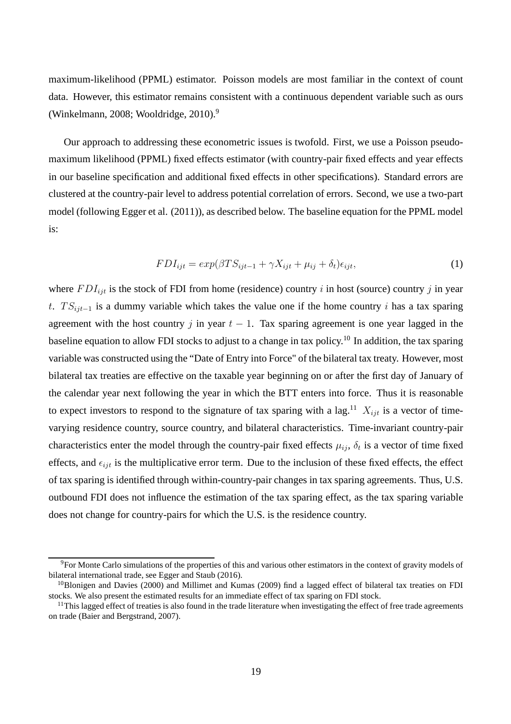maximum-likelihood (PPML) estimator. Poisson models are most familiar in the context of count data. However, this estimator remains consistent with a continuous dependent variable such as ours (Winkelmann, 2008; Wooldridge,  $2010$ ).<sup>9</sup>

Our approach to addressing these econometric issues is twofold. First, we use a Poisson pseudomaximum likelihood (PPML) fixed effects estimator (with country-pair fixed effects and year effects in our baseline specification and additional fixed effects in other specifications). Standard errors are clustered at the country-pair level to address potential correlation of errors. Second, we use a two-part model (following Egger et al. (2011)), as described below. The baseline equation for the PPML model is:

$$
FDI_{ijt} = exp(\beta TS_{ijt-1} + \gamma X_{ijt} + \mu_{ij} + \delta_t)\epsilon_{ijt},
$$
\n(1)

where  $FDI_{ijt}$  is the stock of FDI from home (residence) country i in host (source) country j in year t.  $TS_{ijt-1}$  is a dummy variable which takes the value one if the home country i has a tax sparing agreement with the host country j in year  $t - 1$ . Tax sparing agreement is one year lagged in the baseline equation to allow FDI stocks to adjust to a change in tax policy.<sup>10</sup> In addition, the tax sparing variable was constructed using the "Date of Entry into Force" of the bilateral tax treaty. However, most bilateral tax treaties are effective on the taxable year beginning on or after the first day of January of the calendar year next following the year in which the BTT enters into force. Thus it is reasonable to expect investors to respond to the signature of tax sparing with a lag.<sup>11</sup>  $X_{ijt}$  is a vector of timevarying residence country, source country, and bilateral characteristics. Time-invariant country-pair characteristics enter the model through the country-pair fixed effects  $\mu_{ij}$ ,  $\delta_t$  is a vector of time fixed effects, and  $\epsilon_{ijt}$  is the multiplicative error term. Due to the inclusion of these fixed effects, the effect of tax sparing is identified through within-country-pair changes in tax sparing agreements. Thus, U.S. outbound FDI does not influence the estimation of the tax sparing effect, as the tax sparing variable does not change for country-pairs for which the U.S. is the residence country.

<sup>9</sup>For Monte Carlo simulations of the properties of this and various other estimators in the context of gravity models of bilateral international trade, see Egger and Staub (2016).

 $10B$ lonigen and Davies (2000) and Millimet and Kumas (2009) find a lagged effect of bilateral tax treaties on FDI stocks. We also present the estimated results for an immediate effect of tax sparing on FDI stock.

 $11$ This lagged effect of treaties is also found in the trade literature when investigating the effect of free trade agreements on trade (Baier and Bergstrand, 2007).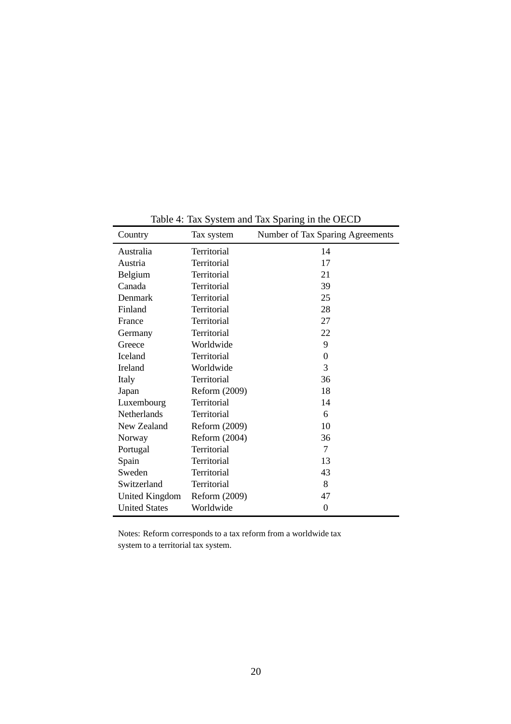| Country<br>Tax system |               | Number of Tax Sparing Agreements |  |  |
|-----------------------|---------------|----------------------------------|--|--|
| Australia             | Territorial   | 14                               |  |  |
| Austria               | Territorial   | 17                               |  |  |
| Belgium               | Territorial   | 21                               |  |  |
| Canada                | Territorial   | 39                               |  |  |
| <b>Denmark</b>        | Territorial   | 25                               |  |  |
| Finland               | Territorial   | 28                               |  |  |
| France                | Territorial   | 27                               |  |  |
| Germany               | Territorial   | 22                               |  |  |
| Greece                | Worldwide     | 9                                |  |  |
| <b>Iceland</b>        | Territorial   | $\theta$                         |  |  |
| <b>Ireland</b>        | Worldwide     | 3                                |  |  |
| Italy                 | Territorial   | 36                               |  |  |
| Japan                 | Reform (2009) | 18                               |  |  |
| Luxembourg            | Territorial   | 14                               |  |  |
| <b>Netherlands</b>    | Territorial   | 6                                |  |  |
| New Zealand           | Reform (2009) | 10                               |  |  |
| Norway                | Reform (2004) | 36                               |  |  |
| Portugal              | Territorial   | $\tau$                           |  |  |
| Spain                 | Territorial   | 13                               |  |  |
| Sweden                | Territorial   | 43                               |  |  |
| Switzerland           | Territorial   | 8                                |  |  |
| <b>United Kingdom</b> | Reform (2009) | 47                               |  |  |
| <b>United States</b>  | Worldwide     | $\overline{0}$                   |  |  |

Table 4: Tax System and Tax Sparing in the OECD

Notes: Reform corresponds to a tax reform from a worldwide tax system to a territorial tax system.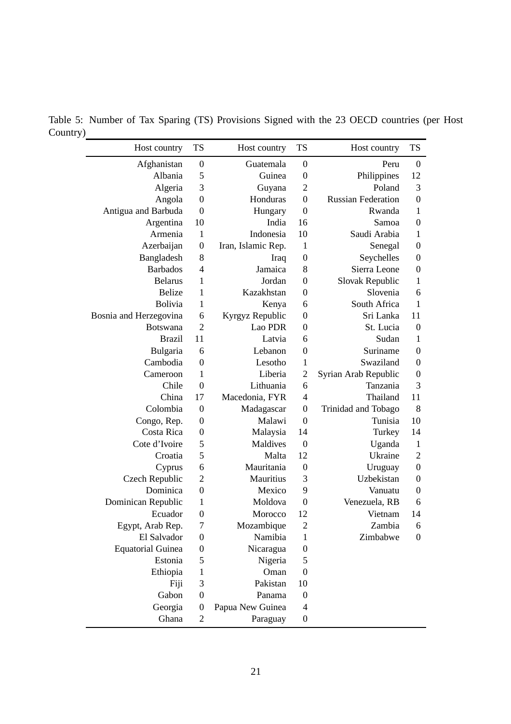Table 5: Number of Tax Sparing (TS) Provisions Signed with the 23 OECD countries (per Host Country)

| Host country             | <b>TS</b>        | Host country       | <b>TS</b>        | Host country              | <b>TS</b>        |
|--------------------------|------------------|--------------------|------------------|---------------------------|------------------|
| Afghanistan              | $\boldsymbol{0}$ | Guatemala          | $\boldsymbol{0}$ | Peru                      | $\boldsymbol{0}$ |
| Albania                  | 5                | Guinea             | $\boldsymbol{0}$ | Philippines               | 12               |
| Algeria                  | 3                | Guyana             | $\overline{2}$   | Poland                    | 3                |
| Angola                   | $\boldsymbol{0}$ | Honduras           | $\boldsymbol{0}$ | <b>Russian Federation</b> | $\boldsymbol{0}$ |
| Antigua and Barbuda      | $\boldsymbol{0}$ | Hungary            | $\boldsymbol{0}$ | Rwanda                    | $\mathbf{1}$     |
| Argentina                | 10               | India              | 16               | Samoa                     | $\boldsymbol{0}$ |
| Armenia                  | $\mathbf{1}$     | Indonesia          | 10               | Saudi Arabia              | $\mathbf{1}$     |
| Azerbaijan               | $\boldsymbol{0}$ | Iran, Islamic Rep. | 1                | Senegal                   | $\boldsymbol{0}$ |
| Bangladesh               | 8                | Iraq               | $\boldsymbol{0}$ | Seychelles                | $\boldsymbol{0}$ |
| <b>Barbados</b>          | $\overline{4}$   | Jamaica            | 8                | Sierra Leone              | $\boldsymbol{0}$ |
| <b>Belarus</b>           | 1                | Jordan             | $\boldsymbol{0}$ | Slovak Republic           | $\mathbf{1}$     |
| <b>Belize</b>            | $\mathbf{1}$     | Kazakhstan         | $\boldsymbol{0}$ | Slovenia                  | 6                |
| <b>Bolivia</b>           | 1                | Kenya              | 6                | South Africa              | 1                |
| Bosnia and Herzegovina   | 6                | Kyrgyz Republic    | $\boldsymbol{0}$ | Sri Lanka                 | 11               |
| <b>Botswana</b>          | $\overline{2}$   | Lao PDR            | $\boldsymbol{0}$ | St. Lucia                 | $\boldsymbol{0}$ |
| <b>Brazil</b>            | 11               | Latvia             | 6                | Sudan                     | $\mathbf{1}$     |
| Bulgaria                 | 6                | Lebanon            | $\boldsymbol{0}$ | Suriname                  | $\overline{0}$   |
| Cambodia                 | $\overline{0}$   | Lesotho            | 1                | Swaziland                 | $\boldsymbol{0}$ |
| Cameroon                 | 1                | Liberia            | $\overline{2}$   | Syrian Arab Republic      | $\boldsymbol{0}$ |
| Chile                    | $\boldsymbol{0}$ | Lithuania          | 6                | Tanzania                  | 3                |
| China                    | 17               | Macedonia, FYR     | $\overline{4}$   | Thailand                  | 11               |
| Colombia                 | $\overline{0}$   | Madagascar         | $\boldsymbol{0}$ | Trinidad and Tobago       | 8                |
| Congo, Rep.              | $\boldsymbol{0}$ | Malawi             | $\boldsymbol{0}$ | Tunisia                   | 10               |
| Costa Rica               | $\boldsymbol{0}$ | Malaysia           | 14               | Turkey                    | 14               |
| Cote d'Ivoire            | 5                | Maldives           | $\boldsymbol{0}$ | Uganda                    | $\mathbf{1}$     |
| Croatia                  | 5                | Malta              | 12               | Ukraine                   | $\overline{2}$   |
| Cyprus                   | 6                | Mauritania         | $\boldsymbol{0}$ | Uruguay                   | $\boldsymbol{0}$ |
| Czech Republic           | $\overline{2}$   | Mauritius          | 3                | Uzbekistan                | $\boldsymbol{0}$ |
| Dominica                 | $\boldsymbol{0}$ | Mexico             | 9                | Vanuatu                   | $\boldsymbol{0}$ |
| Dominican Republic       | 1                | Moldova            | $\boldsymbol{0}$ | Venezuela, RB             | 6                |
| Ecuador                  | $\boldsymbol{0}$ | Morocco            | 12               | Vietnam                   | 14               |
| Egypt, Arab Rep.         | $\overline{7}$   | Mozambique         | $\overline{c}$   | Zambia                    | 6                |
| El Salvador              | $\boldsymbol{0}$ | Namibia            | 1                | Zimbabwe                  | $\boldsymbol{0}$ |
| <b>Equatorial Guinea</b> | $\boldsymbol{0}$ | Nicaragua          | $\boldsymbol{0}$ |                           |                  |
| Estonia                  | 5                | Nigeria            | 5                |                           |                  |
| Ethiopia                 | $\mathbf{1}$     | Oman               | $\boldsymbol{0}$ |                           |                  |
| Fiji                     | 3                | Pakistan           | 10               |                           |                  |
| Gabon                    | $\boldsymbol{0}$ | Panama             | $\boldsymbol{0}$ |                           |                  |
| Georgia                  | $\boldsymbol{0}$ | Papua New Guinea   | $\overline{4}$   |                           |                  |
| Ghana                    | $\mathfrak{2}$   | Paraguay           | $\boldsymbol{0}$ |                           |                  |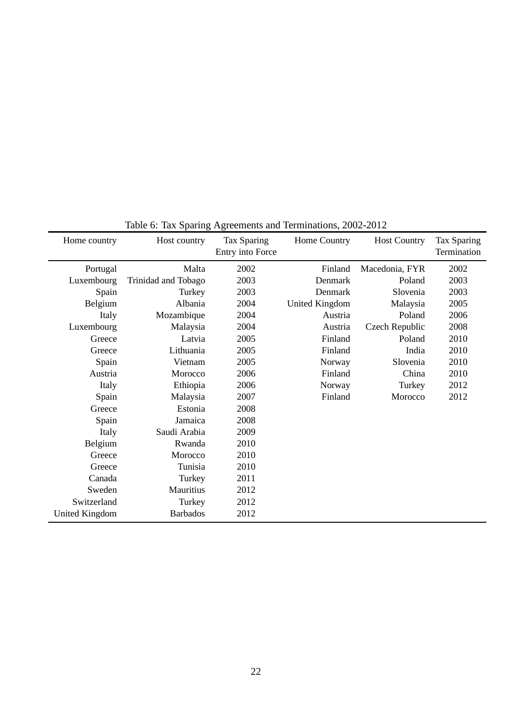|                       | Table 0. Tax Dparting expectificates and Terminianous, 2002-2012 |                  |                |                     |             |
|-----------------------|------------------------------------------------------------------|------------------|----------------|---------------------|-------------|
| Home country          | Host country                                                     | Tax Sparing      | Home Country   | <b>Host Country</b> | Tax Sparing |
|                       |                                                                  | Entry into Force |                |                     | Termination |
| Portugal              | Malta                                                            | 2002             | Finland        | Macedonia, FYR      | 2002        |
| Luxembourg            | Trinidad and Tobago                                              | 2003             | Denmark        | Poland              | 2003        |
| Spain                 | Turkey                                                           | 2003             | Denmark        | Slovenia            | 2003        |
| Belgium               | Albania                                                          | 2004             | United Kingdom | Malaysia            | 2005        |
| Italy                 | Mozambique                                                       | 2004             | Austria        | Poland              | 2006        |
| Luxembourg            | Malaysia                                                         | 2004             | Austria        | Czech Republic      | 2008        |
| Greece                | Latvia                                                           | 2005             | Finland        | Poland              | 2010        |
| Greece                | Lithuania                                                        | 2005             | Finland        | India               | 2010        |
| Spain                 | Vietnam                                                          | 2005             | Norway         | Slovenia            | 2010        |
| Austria               | Morocco                                                          | 2006             | Finland        | China               | 2010        |
| Italy                 | Ethiopia                                                         | 2006             | Norway         | Turkey              | 2012        |
| Spain                 | Malaysia                                                         | 2007             | Finland        | Morocco             | 2012        |
| Greece                | Estonia                                                          | 2008             |                |                     |             |
| Spain                 | Jamaica                                                          | 2008             |                |                     |             |
| Italy                 | Saudi Arabia                                                     | 2009             |                |                     |             |
| Belgium               | Rwanda                                                           | 2010             |                |                     |             |
| Greece                | Morocco                                                          | 2010             |                |                     |             |
| Greece                | Tunisia                                                          | 2010             |                |                     |             |
| Canada                | Turkey                                                           | 2011             |                |                     |             |
| Sweden                | Mauritius                                                        | 2012             |                |                     |             |
| Switzerland           | Turkey                                                           | 2012             |                |                     |             |
| <b>United Kingdom</b> | <b>Barbados</b>                                                  | 2012             |                |                     |             |

Table 6: Tax Sparing Agreements and Terminations, 2002-2012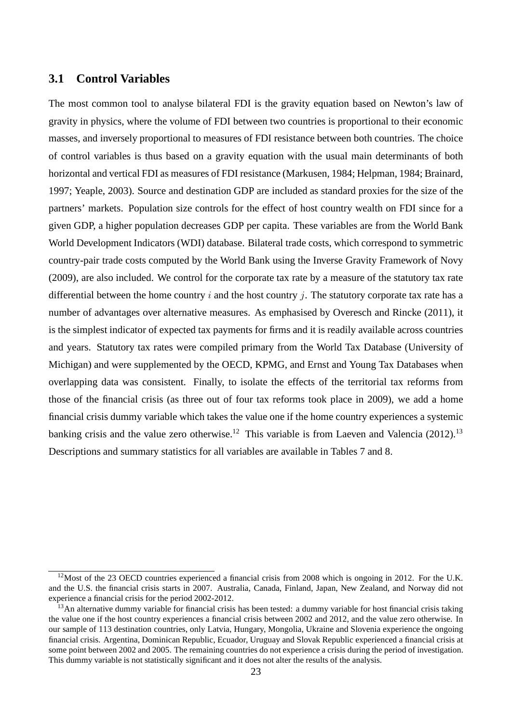## **3.1 Control Variables**

The most common tool to analyse bilateral FDI is the gravity equation based on Newton's law of gravity in physics, where the volume of FDI between two countries is proportional to their economic masses, and inversely proportional to measures of FDI resistance between both countries. The choice of control variables is thus based on a gravity equation with the usual main determinants of both horizontal and vertical FDI as measures of FDI resistance (Markusen, 1984; Helpman, 1984; Brainard, 1997; Yeaple, 2003). Source and destination GDP are included as standard proxies for the size of the partners' markets. Population size controls for the effect of host country wealth on FDI since for a given GDP, a higher population decreases GDP per capita. These variables are from the World Bank World Development Indicators (WDI) database. Bilateral trade costs, which correspond to symmetric country-pair trade costs computed by the World Bank using the Inverse Gravity Framework of Novy (2009), are also included. We control for the corporate tax rate by a measure of the statutory tax rate differential between the home country  $i$  and the host country  $j$ . The statutory corporate tax rate has a number of advantages over alternative measures. As emphasised by Overesch and Rincke (2011), it is the simplest indicator of expected tax payments for firms and it is readily available across countries and years. Statutory tax rates were compiled primary from the World Tax Database (University of Michigan) and were supplemented by the OECD, KPMG, and Ernst and Young Tax Databases when overlapping data was consistent. Finally, to isolate the effects of the territorial tax reforms from those of the financial crisis (as three out of four tax reforms took place in 2009), we add a home financial crisis dummy variable which takes the value one if the home country experiences a systemic banking crisis and the value zero otherwise.<sup>12</sup> This variable is from Laeven and Valencia (2012).<sup>13</sup> Descriptions and summary statistics for all variables are available in Tables 7 and 8.

 $12$ Most of the 23 OECD countries experienced a financial crisis from 2008 which is ongoing in 2012. For the U.K. and the U.S. the financial crisis starts in 2007. Australia, Canada, Finland, Japan, New Zealand, and Norway did not experience a financial crisis for the period 2002-2012.

 $^{13}$ An alternative dummy variable for financial crisis has been tested: a dummy variable for host financial crisis taking the value one if the host country experiences a financial crisis between 2002 and 2012, and the value zero otherwise. In our sample of 113 destination countries, only Latvia, Hungary, Mongolia, Ukraine and Slovenia experience the ongoing financial crisis. Argentina, Dominican Republic, Ecuador, Uruguay and Slovak Republic experienced a financial crisis at some point between 2002 and 2005. The remaining countries do not experience a crisis during the period of investigation. This dummy variable is not statistically significant and it does not alter the results of the analysis.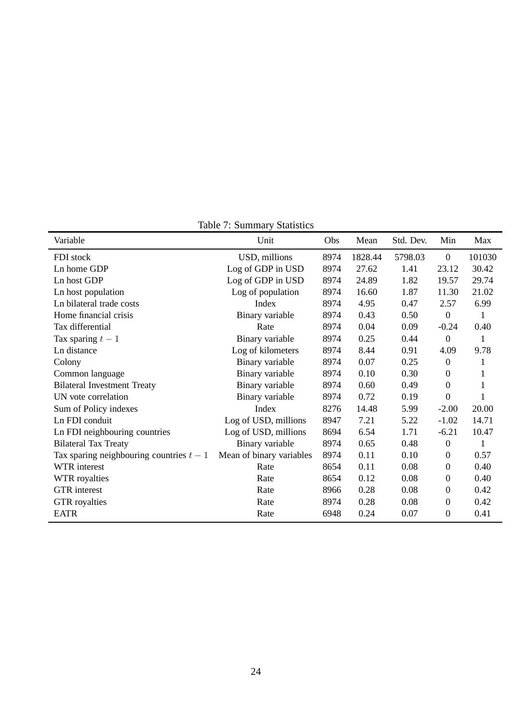| Variable                                 | Unit                     | Obs  | Mean    | Std. Dev. | Min              | Max    |
|------------------------------------------|--------------------------|------|---------|-----------|------------------|--------|
| FDI stock                                | USD, millions            | 8974 | 1828.44 | 5798.03   | $\boldsymbol{0}$ | 101030 |
| Ln home GDP                              | Log of GDP in USD        | 8974 | 27.62   | 1.41      | 23.12            | 30.42  |
| Ln host GDP                              | Log of GDP in USD        | 8974 | 24.89   | 1.82      | 19.57            | 29.74  |
| Ln host population                       | Log of population        | 8974 | 16.60   | 1.87      | 11.30            | 21.02  |
| Ln bilateral trade costs                 | Index                    | 8974 | 4.95    | 0.47      | 2.57             | 6.99   |
| Home financial crisis                    | Binary variable          | 8974 | 0.43    | 0.50      | $\boldsymbol{0}$ | 1      |
| Tax differential                         | Rate                     | 8974 | 0.04    | 0.09      | $-0.24$          | 0.40   |
| Tax sparing $t-1$                        | Binary variable          | 8974 | 0.25    | 0.44      | $\boldsymbol{0}$ | 1      |
| Ln distance                              | Log of kilometers        | 8974 | 8.44    | 0.91      | 4.09             | 9.78   |
| Colony                                   | Binary variable          | 8974 | 0.07    | 0.25      | $\boldsymbol{0}$ | 1      |
| Common language                          | Binary variable          | 8974 | 0.10    | 0.30      | 0                | 1      |
| <b>Bilateral Investment Treaty</b>       | Binary variable          | 8974 | 0.60    | 0.49      | 0                |        |
| UN vote correlation                      | Binary variable          | 8974 | 0.72    | 0.19      | $\boldsymbol{0}$ |        |
| Sum of Policy indexes                    | Index                    | 8276 | 14.48   | 5.99      | $-2.00$          | 20.00  |
| Ln FDI conduit                           | Log of USD, millions     | 8947 | 7.21    | 5.22      | $-1.02$          | 14.71  |
| Ln FDI neighbouring countries            | Log of USD, millions     | 8694 | 6.54    | 1.71      | $-6.21$          | 10.47  |
| <b>Bilateral Tax Treaty</b>              | Binary variable          | 8974 | 0.65    | 0.48      | $\boldsymbol{0}$ | 1      |
| Tax sparing neighbouring countries $t-1$ | Mean of binary variables | 8974 | 0.11    | 0.10      | 0                | 0.57   |
| WTR interest                             | Rate                     | 8654 | 0.11    | 0.08      | 0                | 0.40   |
| WTR royalties                            | Rate                     | 8654 | 0.12    | 0.08      | 0                | 0.40   |
| <b>GTR</b> interest                      | Rate                     | 8966 | 0.28    | 0.08      | 0                | 0.42   |
| <b>GTR</b> royalties                     | Rate                     | 8974 | 0.28    | 0.08      | $\boldsymbol{0}$ | 0.42   |
| <b>EATR</b>                              | Rate                     | 6948 | 0.24    | 0.07      | $\boldsymbol{0}$ | 0.41   |

Table 7: Summary Statistics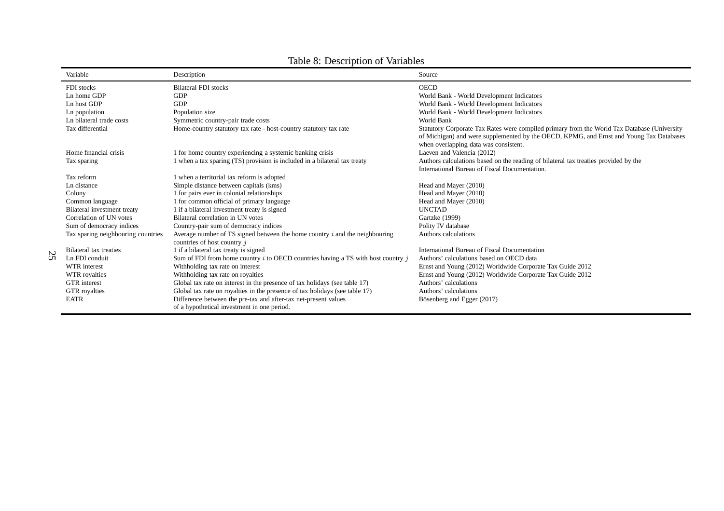|               | Variable                           | Description                                                                                                    | Source                                                                                                                                                                                 |
|---------------|------------------------------------|----------------------------------------------------------------------------------------------------------------|----------------------------------------------------------------------------------------------------------------------------------------------------------------------------------------|
|               | FDI stocks                         | <b>Bilateral FDI</b> stocks                                                                                    | <b>OECD</b>                                                                                                                                                                            |
|               | Ln home GDP                        | <b>GDP</b>                                                                                                     | World Bank - World Development Indicators                                                                                                                                              |
|               | Ln host GDP                        | <b>GDP</b>                                                                                                     | World Bank - World Development Indicators                                                                                                                                              |
|               | Ln population                      | Population size                                                                                                | World Bank - World Development Indicators                                                                                                                                              |
|               | Ln bilateral trade costs           | Symmetric country-pair trade costs                                                                             | World Bank                                                                                                                                                                             |
|               | Tax differential                   | Home-country statutory tax rate - host-country statutory tax rate                                              | Statutory Corporate Tax Rates were compiled primary from the World Tax Database (University<br>of Michigan) and were supplemented by the OECD, KPMG, and Ernst and Young Tax Databases |
|               |                                    |                                                                                                                | when overlapping data was consistent.                                                                                                                                                  |
|               | Home financial crisis              | 1 for home country experiencing a systemic banking crisis                                                      | Laeven and Valencia (2012)                                                                                                                                                             |
|               | Tax sparing                        | 1 when a tax sparing (TS) provision is included in a bilateral tax treaty                                      | Authors calculations based on the reading of bilateral tax treaties provided by the<br>International Bureau of Fiscal Documentation.                                                   |
|               | Tax reform                         | 1 when a territorial tax reform is adopted                                                                     |                                                                                                                                                                                        |
|               | Ln distance                        | Simple distance between capitals (kms)                                                                         | Head and Mayer (2010)                                                                                                                                                                  |
|               | Colony                             | 1 for pairs ever in colonial relationships                                                                     | Head and Mayer (2010)                                                                                                                                                                  |
|               | Common language                    | 1 for common official of primary language                                                                      | Head and Mayer (2010)                                                                                                                                                                  |
|               | Bilateral investment treaty        | 1 if a bilateral investment treaty is signed                                                                   | <b>UNCTAD</b>                                                                                                                                                                          |
|               | Correlation of UN votes            | Bilateral correlation in UN votes                                                                              | Gartzke (1999)                                                                                                                                                                         |
|               | Sum of democracy indices           | Country-pair sum of democracy indices                                                                          | Polity IV database                                                                                                                                                                     |
|               | Tax sparing neighbouring countries | Average number of TS signed between the home country $i$ and the neighbouring<br>countries of host country $j$ | Authors calculations                                                                                                                                                                   |
| $\mathcal{D}$ | Bilateral tax treaties             | 1 if a bilateral tax treaty is signed                                                                          | International Bureau of Fiscal Documentation                                                                                                                                           |
| Ü             | Ln FDI conduit                     | Sum of FDI from home country $i$ to OECD countries having a TS with host country $i$                           | Authors' calculations based on OECD data                                                                                                                                               |
|               | WTR interest                       | Withholding tax rate on interest                                                                               | Ernst and Young (2012) Worldwide Corporate Tax Guide 2012                                                                                                                              |
|               | WTR royalties                      | Withholding tax rate on royalties                                                                              | Ernst and Young (2012) Worldwide Corporate Tax Guide 2012                                                                                                                              |
|               | <b>GTR</b> interest                | Global tax rate on interest in the presence of tax holidays (see table 17)                                     | Authors' calculations                                                                                                                                                                  |
|               | <b>GTR</b> royalties               | Global tax rate on royalties in the presence of tax holidays (see table 17)                                    | Authors' calculations                                                                                                                                                                  |
|               | <b>EATR</b>                        | Difference between the pre-tax and after-tax net-present values<br>of a hypothetical investment in one period. | Bösenberg and Egger (2017)                                                                                                                                                             |

## Table 8: Description of Variables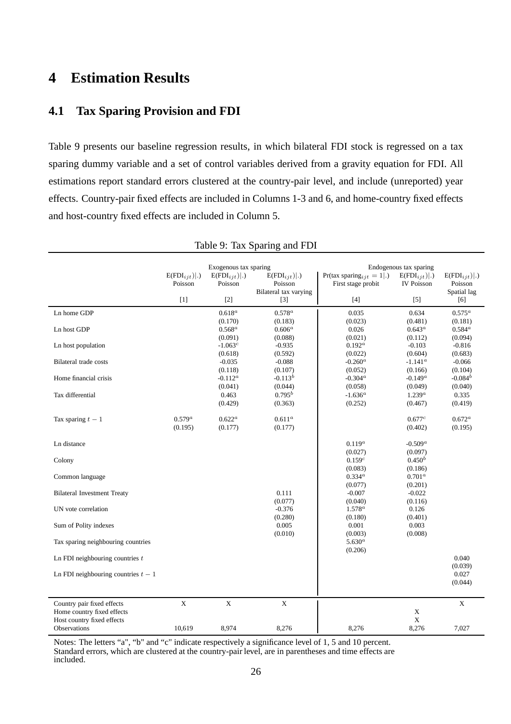# **4 Estimation Results**

# **4.1 Tax Sparing Provision and FDI**

Table 9 presents our baseline regression results, in which bilateral FDI stock is regressed on a tax sparing dummy variable and a set of control variables derived from a gravity equation for FDI. All estimations report standard errors clustered at the country-pair level, and include (unreported) year effects. Country-pair fixed effects are included in Columns 1-3 and 6, and home-country fixed effects and host-country fixed effects are included in Column 5.

|                                                                                        | $E(FDI_{iit}) .$<br>Poisson | Exogenous tax sparing<br>$E(FDI_{iit}) .$<br>Poisson | $E(FDI_{iit}) .$<br>Poisson<br>Bilateral tax varying | Pr(tax sparing <sub>ijt</sub> = 1 .)<br>First stage probit                                                                                                                                     | Endogenous tax sparing<br>$E(FDI_{ijt}) .$<br><b>IV Poisson</b> | $E(FDI_{iit}) .$<br>Poisson<br>Spatial lag |
|----------------------------------------------------------------------------------------|-----------------------------|------------------------------------------------------|------------------------------------------------------|------------------------------------------------------------------------------------------------------------------------------------------------------------------------------------------------|-----------------------------------------------------------------|--------------------------------------------|
|                                                                                        | $[1]$                       | $[2]$                                                | $[3]$                                                | $[4] % \begin{center} \includegraphics[width=\linewidth]{imagesSupplemental/Imit} \caption{The image shows the image shows a function of the number of times.} \label{fig:limal} \end{center}$ | $[5]$                                                           | [6]                                        |
| ${\rm Ln}$ home ${\rm GDP}$                                                            |                             | $0.618^a$                                            | $0.578^a$                                            | 0.035                                                                                                                                                                                          | 0.634                                                           | $0.575^a$                                  |
| Ln host GDP                                                                            |                             | (0.170)<br>$0.568^a$                                 | (0.183)<br>$0.606^a$                                 | (0.023)<br>0.026                                                                                                                                                                               | (0.481)<br>$0.643^a$                                            | (0.181)<br>$0.584^a$                       |
| Ln host population                                                                     |                             | (0.091)<br>$-1.063c$<br>(0.618)                      | (0.088)<br>$-0.935$<br>(0.592)                       | (0.021)<br>$0.192^a$<br>(0.022)                                                                                                                                                                | (0.112)<br>$-0.103$<br>(0.604)                                  | (0.094)<br>$-0.816$<br>(0.683)             |
| Bilateral trade costs                                                                  |                             | $-0.035$<br>(0.118)                                  | $-0.088$<br>(0.107)                                  | $-0.260^a$<br>(0.052)                                                                                                                                                                          | $-1.141^a$<br>(0.166)                                           | $-0.066$<br>(0.104)                        |
| Home financial crisis                                                                  |                             | $-0.112^a$<br>(0.041)                                | $-0.113^{b}$<br>(0.044)                              | $-0.304^a$<br>(0.058)                                                                                                                                                                          | $-0.149^a$<br>(0.049)                                           | $-0.084b$<br>(0.040)                       |
| Tax differential                                                                       |                             | 0.463<br>(0.429)                                     | $0.795^b$<br>(0.363)                                 | $-1.636^a$<br>(0.252)                                                                                                                                                                          | $1.239^{a}$<br>(0.467)                                          | 0.335<br>(0.419)                           |
| Tax sparing $t-1$                                                                      | $0.579^{a}$<br>(0.195)      | $0.622^a$<br>(0.177)                                 | $0.611^a$<br>(0.177)                                 |                                                                                                                                                                                                | 0.677c<br>(0.402)                                               | $0.672^{\alpha}$<br>(0.195)                |
| Ln distance                                                                            |                             |                                                      |                                                      | $0.119^{a}$                                                                                                                                                                                    | $-0.509^a$                                                      |                                            |
| Colony                                                                                 |                             |                                                      |                                                      | (0.027)<br>$0.159^{c}$<br>(0.083)                                                                                                                                                              | (0.097)<br>$0.450^{b}$<br>(0.186)                               |                                            |
| Common language                                                                        |                             |                                                      |                                                      | $0.334^{a}$<br>(0.077)                                                                                                                                                                         | $0.701^a$<br>(0.201)                                            |                                            |
| <b>Bilateral Investment Treaty</b>                                                     |                             |                                                      | 0.111<br>(0.077)                                     | $-0.007$<br>(0.040)                                                                                                                                                                            | $-0.022$<br>(0.116)                                             |                                            |
| UN vote correlation                                                                    |                             |                                                      | $-0.376$<br>(0.280)                                  | $1.578^a$<br>(0.180)                                                                                                                                                                           | 0.126<br>(0.401)                                                |                                            |
| Sum of Polity indexes                                                                  |                             |                                                      | 0.005<br>(0.010)                                     | 0.001<br>(0.003)                                                                                                                                                                               | 0.003<br>(0.008)                                                |                                            |
| Tax sparing neighbouring countries                                                     |                             |                                                      |                                                      | $5.630^{a}$<br>(0.206)                                                                                                                                                                         |                                                                 |                                            |
| Ln FDI neighbouring countries $t$                                                      |                             |                                                      |                                                      |                                                                                                                                                                                                |                                                                 | 0.040<br>(0.039)                           |
| Ln FDI neighbouring countries $t-1$                                                    |                             |                                                      |                                                      |                                                                                                                                                                                                |                                                                 | 0.027<br>(0.044)                           |
|                                                                                        |                             |                                                      |                                                      |                                                                                                                                                                                                |                                                                 |                                            |
| Country pair fixed effects<br>Home country fixed effects<br>Host country fixed effects | X                           | X                                                    | $\mathbf X$                                          |                                                                                                                                                                                                | $\mathbf X$<br>$\mathbf X$                                      | $\mathbf X$                                |
| Observations                                                                           | 10,619                      | 8,974                                                | 8,276                                                | 8,276                                                                                                                                                                                          | 8,276                                                           | 7,027                                      |

| Table 9: Tax Sparing and FDI |  |  |  |  |  |
|------------------------------|--|--|--|--|--|
|------------------------------|--|--|--|--|--|

Notes: The letters "a", "b" and "c" indicate respectively a significance level of 1, 5 and 10 percent. Standard errors, which are clustered at the country-pair level, are in parentheses and time effects are included.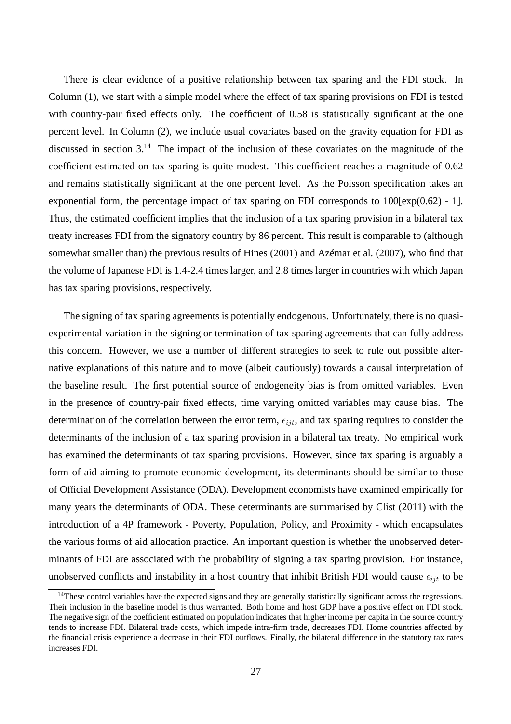There is clear evidence of a positive relationship between tax sparing and the FDI stock. In Column (1), we start with a simple model where the effect of tax sparing provisions on FDI is tested with country-pair fixed effects only. The coefficient of 0.58 is statistically significant at the one percent level. In Column (2), we include usual covariates based on the gravity equation for FDI as discussed in section 3.<sup>14</sup> The impact of the inclusion of these covariates on the magnitude of the coefficient estimated on tax sparing is quite modest. This coefficient reaches a magnitude of 0.62 and remains statistically significant at the one percent level. As the Poisson specification takes an exponential form, the percentage impact of tax sparing on FDI corresponds to  $100 \times p(0.62) - 1$ . Thus, the estimated coefficient implies that the inclusion of a tax sparing provision in a bilateral tax treaty increases FDI from the signatory country by 86 percent. This result is comparable to (although somewhat smaller than) the previous results of Hines (2001) and Azémar et al. (2007), who find that the volume of Japanese FDI is 1.4-2.4 times larger, and 2.8 times larger in countries with which Japan has tax sparing provisions, respectively.

The signing of tax sparing agreements is potentially endogenous. Unfortunately, there is no quasiexperimental variation in the signing or termination of tax sparing agreements that can fully address this concern. However, we use a number of different strategies to seek to rule out possible alternative explanations of this nature and to move (albeit cautiously) towards a causal interpretation of the baseline result. The first potential source of endogeneity bias is from omitted variables. Even in the presence of country-pair fixed effects, time varying omitted variables may cause bias. The determination of the correlation between the error term,  $\epsilon_{ijt}$ , and tax sparing requires to consider the determinants of the inclusion of a tax sparing provision in a bilateral tax treaty. No empirical work has examined the determinants of tax sparing provisions. However, since tax sparing is arguably a form of aid aiming to promote economic development, its determinants should be similar to those of Official Development Assistance (ODA). Development economists have examined empirically for many years the determinants of ODA. These determinants are summarised by Clist (2011) with the introduction of a 4P framework - Poverty, Population, Policy, and Proximity - which encapsulates the various forms of aid allocation practice. An important question is whether the unobserved determinants of FDI are associated with the probability of signing a tax sparing provision. For instance, unobserved conflicts and instability in a host country that inhibit British FDI would cause  $\epsilon_{ijt}$  to be

<sup>&</sup>lt;sup>14</sup>These control variables have the expected signs and they are generally statistically significant across the regressions. Their inclusion in the baseline model is thus warranted. Both home and host GDP have a positive effect on FDI stock. The negative sign of the coefficient estimated on population indicates that higher income per capita in the source country tends to increase FDI. Bilateral trade costs, which impede intra-firm trade, decreases FDI. Home countries affected by the financial crisis experience a decrease in their FDI outflows. Finally, the bilateral difference in the statutory tax rates increases FDI.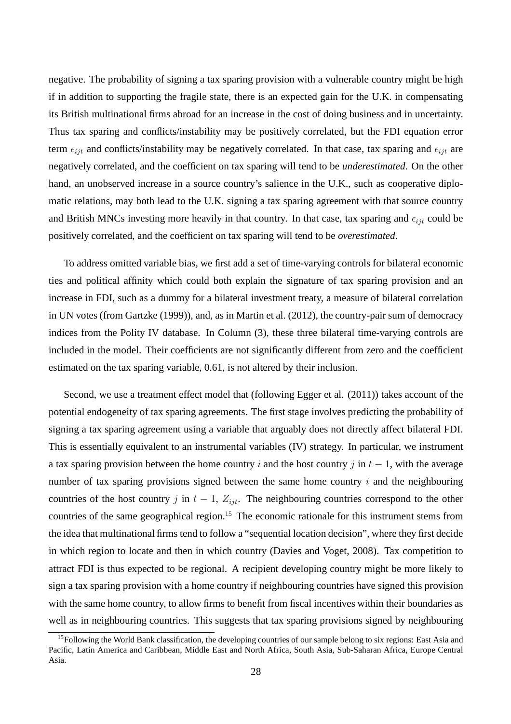negative. The probability of signing a tax sparing provision with a vulnerable country might be high if in addition to supporting the fragile state, there is an expected gain for the U.K. in compensating its British multinational firms abroad for an increase in the cost of doing business and in uncertainty. Thus tax sparing and conflicts/instability may be positively correlated, but the FDI equation error term  $\epsilon_{ijt}$  and conflicts/instability may be negatively correlated. In that case, tax sparing and  $\epsilon_{ijt}$  are negatively correlated, and the coefficient on tax sparing will tend to be *underestimated*. On the other hand, an unobserved increase in a source country's salience in the U.K., such as cooperative diplomatic relations, may both lead to the U.K. signing a tax sparing agreement with that source country and British MNCs investing more heavily in that country. In that case, tax sparing and  $\epsilon_{ijt}$  could be positively correlated, and the coefficient on tax sparing will tend to be *overestimated*.

To address omitted variable bias, we first add a set of time-varying controls for bilateral economic ties and political affinity which could both explain the signature of tax sparing provision and an increase in FDI, such as a dummy for a bilateral investment treaty, a measure of bilateral correlation in UN votes (from Gartzke (1999)), and, as in Martin et al. (2012), the country-pair sum of democracy indices from the Polity IV database. In Column (3), these three bilateral time-varying controls are included in the model. Their coefficients are not significantly different from zero and the coefficient estimated on the tax sparing variable, 0.61, is not altered by their inclusion.

Second, we use a treatment effect model that (following Egger et al. (2011)) takes account of the potential endogeneity of tax sparing agreements. The first stage involves predicting the probability of signing a tax sparing agreement using a variable that arguably does not directly affect bilateral FDI. This is essentially equivalent to an instrumental variables (IV) strategy. In particular, we instrument a tax sparing provision between the home country i and the host country j in  $t - 1$ , with the average number of tax sparing provisions signed between the same home country  $i$  and the neighbouring countries of the host country j in  $t - 1$ ,  $Z_{ijt}$ . The neighbouring countries correspond to the other countries of the same geographical region.<sup>15</sup> The economic rationale for this instrument stems from the idea that multinational firms tend to follow a "sequential location decision", where they first decide in which region to locate and then in which country (Davies and Voget, 2008). Tax competition to attract FDI is thus expected to be regional. A recipient developing country might be more likely to sign a tax sparing provision with a home country if neighbouring countries have signed this provision with the same home country, to allow firms to benefit from fiscal incentives within their boundaries as well as in neighbouring countries. This suggests that tax sparing provisions signed by neighbouring

<sup>&</sup>lt;sup>15</sup>Following the World Bank classification, the developing countries of our sample belong to six regions: East Asia and Pacific, Latin America and Caribbean, Middle East and North Africa, South Asia, Sub-Saharan Africa, Europe Central Asia.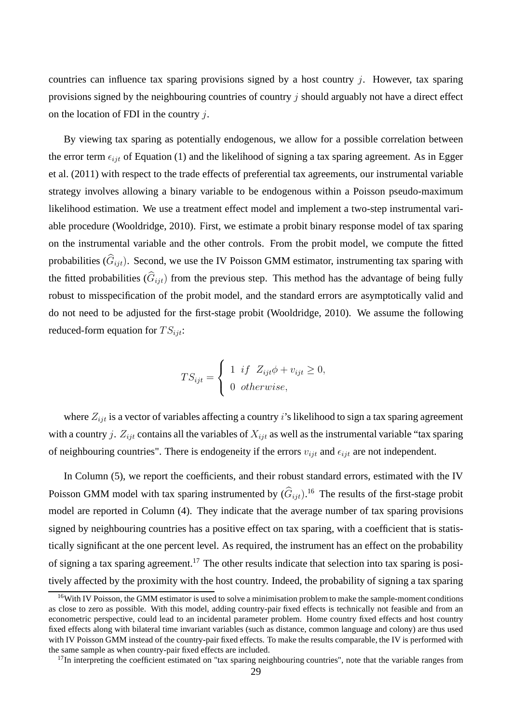countries can influence tax sparing provisions signed by a host country  $i$ . However, tax sparing provisions signed by the neighbouring countries of country  $\dot{\gamma}$  should arguably not have a direct effect on the location of FDI in the country  $i$ .

By viewing tax sparing as potentially endogenous, we allow for a possible correlation between the error term  $\epsilon_{iit}$  of Equation (1) and the likelihood of signing a tax sparing agreement. As in Egger et al. (2011) with respect to the trade effects of preferential tax agreements, our instrumental variable strategy involves allowing a binary variable to be endogenous within a Poisson pseudo-maximum likelihood estimation. We use a treatment effect model and implement a two-step instrumental variable procedure (Wooldridge, 2010). First, we estimate a probit binary response model of tax sparing on the instrumental variable and the other controls. From the probit model, we compute the fitted probabilities  $(\widehat{G}_{iit})$ . Second, we use the IV Poisson GMM estimator, instrumenting tax sparing with the fitted probabilities  $(\widehat{G}_{ijt})$  from the previous step. This method has the advantage of being fully robust to misspecification of the probit model, and the standard errors are asymptotically valid and do not need to be adjusted for the first-stage probit (Wooldridge, 2010). We assume the following reduced-form equation for  $TS_{iit}$ :

$$
TS_{ijt} = \begin{cases} 1 & \text{if } Z_{ijt}\phi + v_{ijt} \ge 0, \\ 0 & \text{otherwise,} \end{cases}
$$

where  $Z_{ijt}$  is a vector of variables affecting a country i's likelihood to sign a tax sparing agreement with a country j.  $Z_{ijt}$  contains all the variables of  $X_{ijt}$  as well as the instrumental variable "tax sparing of neighbouring countries". There is endogeneity if the errors  $v_{ijt}$  and  $\epsilon_{ijt}$  are not independent.

In Column (5), we report the coefficients, and their robust standard errors, estimated with the IV Poisson GMM model with tax sparing instrumented by  $(\hat{G}_{ijt})$ .<sup>16</sup> The results of the first-stage probit model are reported in Column (4). They indicate that the average number of tax sparing provisions signed by neighbouring countries has a positive effect on tax sparing, with a coefficient that is statistically significant at the one percent level. As required, the instrument has an effect on the probability of signing a tax sparing agreement.<sup>17</sup> The other results indicate that selection into tax sparing is positively affected by the proximity with the host country. Indeed, the probability of signing a tax sparing

<sup>&</sup>lt;sup>16</sup>With IV Poisson, the GMM estimator is used to solve a minimisation problem to make the sample-moment conditions as close to zero as possible. With this model, adding country-pair fixed effects is technically not feasible and from an econometric perspective, could lead to an incidental parameter problem. Home country fixed effects and host country fixed effects along with bilateral time invariant variables (such as distance, common language and colony) are thus used with IV Poisson GMM instead of the country-pair fixed effects. To make the results comparable, the IV is performed with the same sample as when country-pair fixed effects are included.

 $17$ In interpreting the coefficient estimated on "tax sparing neighbouring countries", note that the variable ranges from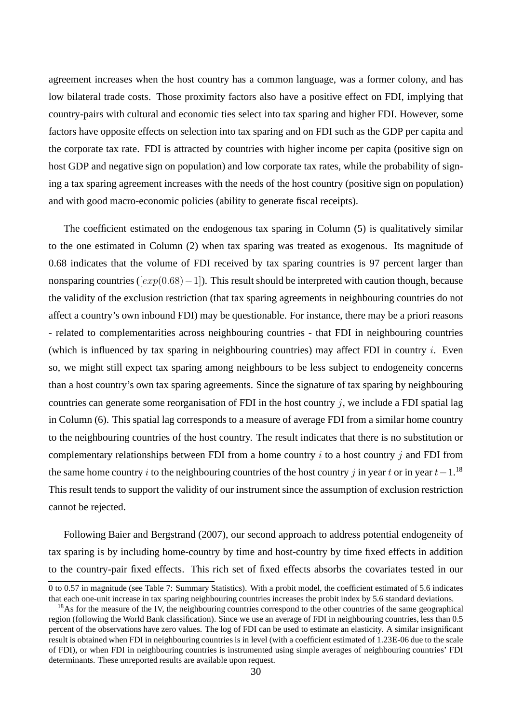agreement increases when the host country has a common language, was a former colony, and has low bilateral trade costs. Those proximity factors also have a positive effect on FDI, implying that country-pairs with cultural and economic ties select into tax sparing and higher FDI. However, some factors have opposite effects on selection into tax sparing and on FDI such as the GDP per capita and the corporate tax rate. FDI is attracted by countries with higher income per capita (positive sign on host GDP and negative sign on population) and low corporate tax rates, while the probability of signing a tax sparing agreement increases with the needs of the host country (positive sign on population) and with good macro-economic policies (ability to generate fiscal receipts).

The coefficient estimated on the endogenous tax sparing in Column (5) is qualitatively similar to the one estimated in Column (2) when tax sparing was treated as exogenous. Its magnitude of 0.68 indicates that the volume of FDI received by tax sparing countries is 97 percent larger than nonsparing countries ( $[exp(0.68)-1]$ ). This result should be interpreted with caution though, because the validity of the exclusion restriction (that tax sparing agreements in neighbouring countries do not affect a country's own inbound FDI) may be questionable. For instance, there may be a priori reasons - related to complementarities across neighbouring countries - that FDI in neighbouring countries (which is influenced by tax sparing in neighbouring countries) may affect FDI in country  $i$ . Even so, we might still expect tax sparing among neighbours to be less subject to endogeneity concerns than a host country's own tax sparing agreements. Since the signature of tax sparing by neighbouring countries can generate some reorganisation of FDI in the host country  $j$ , we include a FDI spatial lag in Column (6). This spatial lag corresponds to a measure of average FDI from a similar home country to the neighbouring countries of the host country. The result indicates that there is no substitution or complementary relationships between FDI from a home country  $i$  to a host country  $j$  and FDI from the same home country i to the neighbouring countries of the host country j in year t or in year  $t-1$ .<sup>18</sup> This result tends to support the validity of our instrument since the assumption of exclusion restriction cannot be rejected.

Following Baier and Bergstrand (2007), our second approach to address potential endogeneity of tax sparing is by including home-country by time and host-country by time fixed effects in addition to the country-pair fixed effects. This rich set of fixed effects absorbs the covariates tested in our

<sup>0</sup> to 0.57 in magnitude (see Table 7: Summary Statistics). With a probit model, the coefficient estimated of 5.6 indicates that each one-unit increase in tax sparing neighbouring countries increases the probit index by 5.6 standard deviations.

<sup>&</sup>lt;sup>18</sup>As for the measure of the IV, the neighbouring countries correspond to the other countries of the same geographical region (following the World Bank classification). Since we use an average of FDI in neighbouring countries, less than 0.5 percent of the observations have zero values. The log of FDI can be used to estimate an elasticity. A similar insignificant result is obtained when FDI in neighbouring countries is in level (with a coefficient estimated of 1.23E-06 due to the scale of FDI), or when FDI in neighbouring countries is instrumented using simple averages of neighbouring countries' FDI determinants. These unreported results are available upon request.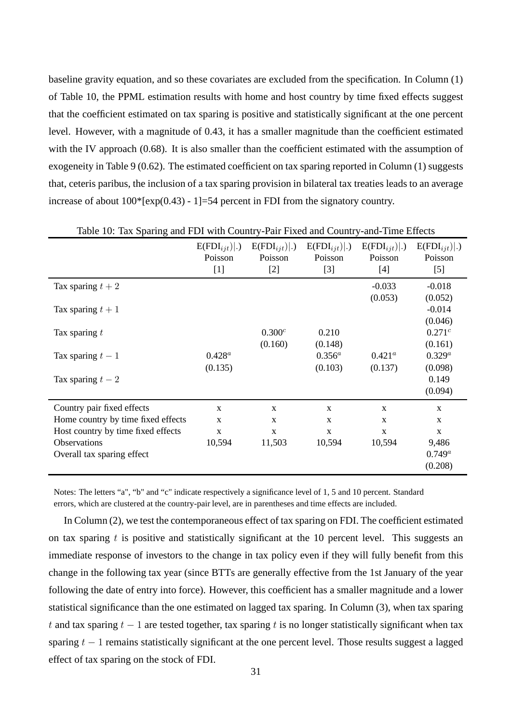baseline gravity equation, and so these covariates are excluded from the specification. In Column (1) of Table 10, the PPML estimation results with home and host country by time fixed effects suggest that the coefficient estimated on tax sparing is positive and statistically significant at the one percent level. However, with a magnitude of 0.43, it has a smaller magnitude than the coefficient estimated with the IV approach (0.68). It is also smaller than the coefficient estimated with the assumption of exogeneity in Table 9 (0.62). The estimated coefficient on tax sparing reported in Column (1) suggests that, ceteris paribus, the inclusion of a tax sparing provision in bilateral tax treaties leads to an average increase of about  $100*$ [exp(0.43) - 1]=54 percent in FDI from the signatory country.

|                                    | $E(FDI_{ijt}) .$<br>Poisson | $E(FDI_{ijt}) .$<br>Poisson | $E(FDI_{ijt}) .$<br>Poisson | $E(FDI_{ijt}) .$<br>Poisson | $E(FDI_{ijt}) .$<br>Poisson |
|------------------------------------|-----------------------------|-----------------------------|-----------------------------|-----------------------------|-----------------------------|
|                                    | $[1]$                       | $[2]$                       | $[3]$                       | $[4]$                       | $[5]$                       |
| Tax sparing $t + 2$                |                             |                             |                             | $-0.033$                    | $-0.018$                    |
|                                    |                             |                             |                             | (0.053)                     | (0.052)                     |
| Tax sparing $t+1$                  |                             |                             |                             |                             | $-0.014$                    |
|                                    |                             |                             |                             |                             | (0.046)                     |
| Tax sparing $t$                    |                             | $0.300^c$                   | 0.210                       |                             | $0.271^{c}$                 |
|                                    |                             | (0.160)                     | (0.148)                     |                             | (0.161)                     |
| Tax sparing $t-1$                  | $0.428^a$                   |                             | $0.356^{a}$                 | $0.421^a$                   | $0.329^{a}$                 |
|                                    | (0.135)                     |                             | (0.103)                     | (0.137)                     | (0.098)                     |
| Tax sparing $t-2$                  |                             |                             |                             |                             | 0.149                       |
|                                    |                             |                             |                             |                             | (0.094)                     |
| Country pair fixed effects         | X                           | X                           | $\mathbf X$                 | X                           | X                           |
| Home country by time fixed effects | X                           | X                           | $\mathbf X$                 | X                           | $\mathbf{x}$                |
| Host country by time fixed effects | $\mathbf X$                 | $\mathbf X$                 | X                           | X                           | X                           |
| <b>Observations</b>                | 10,594                      | 11,503                      | 10,594                      | 10,594                      | 9,486                       |
| Overall tax sparing effect         |                             |                             |                             |                             | $0.749^a$                   |
|                                    |                             |                             |                             |                             | (0.208)                     |

| Table 10: Tax Sparing and FDI with Country-Pair Fixed and Country-and-Time Effects |  |  |  |
|------------------------------------------------------------------------------------|--|--|--|
|                                                                                    |  |  |  |

Notes: The letters "a", "b" and "c" indicate respectively a significance level of 1, 5 and 10 percent. Standard errors, which are clustered at the country-pair level, are in parentheses and time effects are included.

In Column (2), we test the contemporaneous effect of tax sparing on FDI. The coefficient estimated on tax sparing  $t$  is positive and statistically significant at the 10 percent level. This suggests an immediate response of investors to the change in tax policy even if they will fully benefit from this change in the following tax year (since BTTs are generally effective from the 1st January of the year following the date of entry into force). However, this coefficient has a smaller magnitude and a lower statistical significance than the one estimated on lagged tax sparing. In Column (3), when tax sparing t and tax sparing  $t - 1$  are tested together, tax sparing t is no longer statistically significant when tax sparing  $t - 1$  remains statistically significant at the one percent level. Those results suggest a lagged effect of tax sparing on the stock of FDI.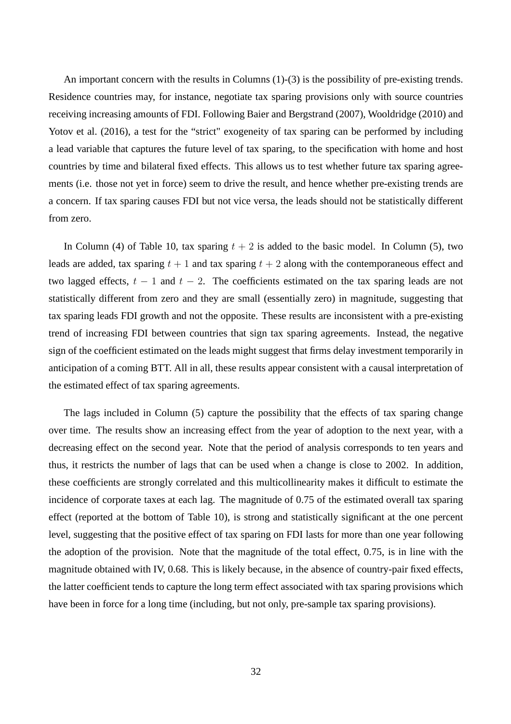An important concern with the results in Columns (1)-(3) is the possibility of pre-existing trends. Residence countries may, for instance, negotiate tax sparing provisions only with source countries receiving increasing amounts of FDI. Following Baier and Bergstrand (2007), Wooldridge (2010) and Yotov et al. (2016), a test for the "strict" exogeneity of tax sparing can be performed by including a lead variable that captures the future level of tax sparing, to the specification with home and host countries by time and bilateral fixed effects. This allows us to test whether future tax sparing agreements (i.e. those not yet in force) seem to drive the result, and hence whether pre-existing trends are a concern. If tax sparing causes FDI but not vice versa, the leads should not be statistically different from zero.

In Column (4) of Table 10, tax sparing  $t + 2$  is added to the basic model. In Column (5), two leads are added, tax sparing  $t + 1$  and tax sparing  $t + 2$  along with the contemporaneous effect and two lagged effects,  $t - 1$  and  $t - 2$ . The coefficients estimated on the tax sparing leads are not statistically different from zero and they are small (essentially zero) in magnitude, suggesting that tax sparing leads FDI growth and not the opposite. These results are inconsistent with a pre-existing trend of increasing FDI between countries that sign tax sparing agreements. Instead, the negative sign of the coefficient estimated on the leads might suggest that firms delay investment temporarily in anticipation of a coming BTT. All in all, these results appear consistent with a causal interpretation of the estimated effect of tax sparing agreements.

The lags included in Column (5) capture the possibility that the effects of tax sparing change over time. The results show an increasing effect from the year of adoption to the next year, with a decreasing effect on the second year. Note that the period of analysis corresponds to ten years and thus, it restricts the number of lags that can be used when a change is close to 2002. In addition, these coefficients are strongly correlated and this multicollinearity makes it difficult to estimate the incidence of corporate taxes at each lag. The magnitude of 0.75 of the estimated overall tax sparing effect (reported at the bottom of Table 10), is strong and statistically significant at the one percent level, suggesting that the positive effect of tax sparing on FDI lasts for more than one year following the adoption of the provision. Note that the magnitude of the total effect, 0.75, is in line with the magnitude obtained with IV, 0.68. This is likely because, in the absence of country-pair fixed effects, the latter coefficient tends to capture the long term effect associated with tax sparing provisions which have been in force for a long time (including, but not only, pre-sample tax sparing provisions).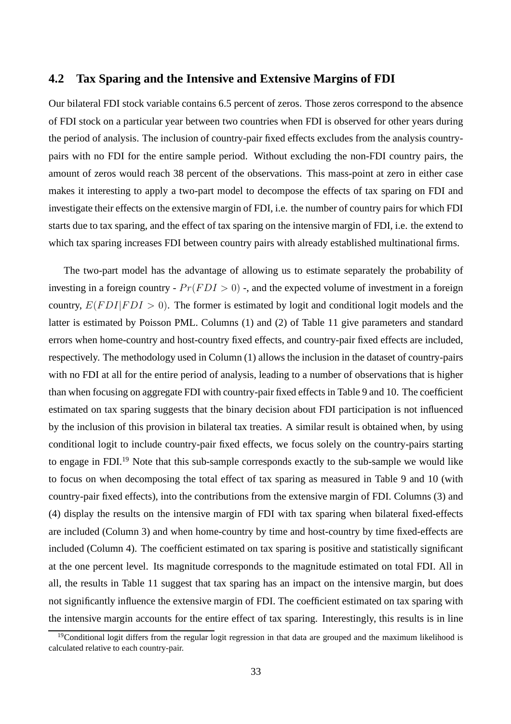### **4.2 Tax Sparing and the Intensive and Extensive Margins of FDI**

Our bilateral FDI stock variable contains 6.5 percent of zeros. Those zeros correspond to the absence of FDI stock on a particular year between two countries when FDI is observed for other years during the period of analysis. The inclusion of country-pair fixed effects excludes from the analysis countrypairs with no FDI for the entire sample period. Without excluding the non-FDI country pairs, the amount of zeros would reach 38 percent of the observations. This mass-point at zero in either case makes it interesting to apply a two-part model to decompose the effects of tax sparing on FDI and investigate their effects on the extensive margin of FDI, i.e. the number of country pairs for which FDI starts due to tax sparing, and the effect of tax sparing on the intensive margin of FDI, i.e. the extend to which tax sparing increases FDI between country pairs with already established multinational firms.

The two-part model has the advantage of allowing us to estimate separately the probability of investing in a foreign country -  $Pr(FDI > 0)$  -, and the expected volume of investment in a foreign country,  $E(FD I | F D I > 0)$ . The former is estimated by logit and conditional logit models and the latter is estimated by Poisson PML. Columns (1) and (2) of Table 11 give parameters and standard errors when home-country and host-country fixed effects, and country-pair fixed effects are included, respectively. The methodology used in Column (1) allows the inclusion in the dataset of country-pairs with no FDI at all for the entire period of analysis, leading to a number of observations that is higher than when focusing on aggregate FDI with country-pair fixed effects in Table 9 and 10. The coefficient estimated on tax sparing suggests that the binary decision about FDI participation is not influenced by the inclusion of this provision in bilateral tax treaties. A similar result is obtained when, by using conditional logit to include country-pair fixed effects, we focus solely on the country-pairs starting to engage in FDI.<sup>19</sup> Note that this sub-sample corresponds exactly to the sub-sample we would like to focus on when decomposing the total effect of tax sparing as measured in Table 9 and 10 (with country-pair fixed effects), into the contributions from the extensive margin of FDI. Columns (3) and (4) display the results on the intensive margin of FDI with tax sparing when bilateral fixed-effects are included (Column 3) and when home-country by time and host-country by time fixed-effects are included (Column 4). The coefficient estimated on tax sparing is positive and statistically significant at the one percent level. Its magnitude corresponds to the magnitude estimated on total FDI. All in all, the results in Table 11 suggest that tax sparing has an impact on the intensive margin, but does not significantly influence the extensive margin of FDI. The coefficient estimated on tax sparing with the intensive margin accounts for the entire effect of tax sparing. Interestingly, this results is in line

<sup>&</sup>lt;sup>19</sup>Conditional logit differs from the regular logit regression in that data are grouped and the maximum likelihood is calculated relative to each country-pair.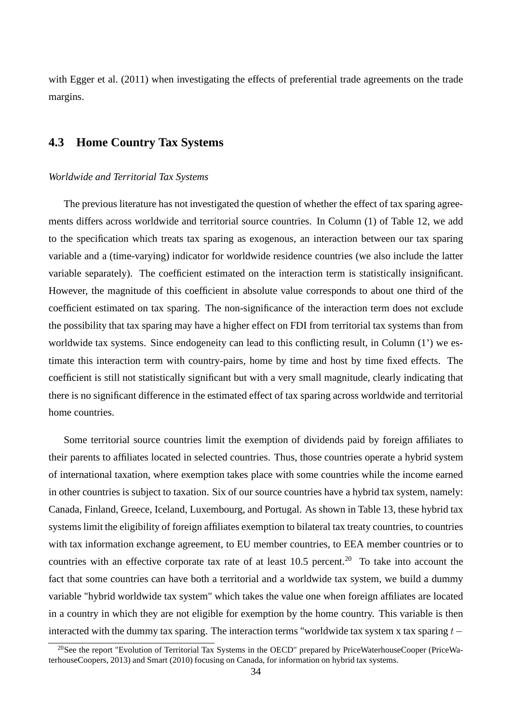with Egger et al. (2011) when investigating the effects of preferential trade agreements on the trade margins.

# **4.3 Home Country Tax Systems**

### *Worldwide and Territorial Tax Systems*

The previous literature has not investigated the question of whether the effect of tax sparing agreements differs across worldwide and territorial source countries. In Column (1) of Table 12, we add to the specification which treats tax sparing as exogenous, an interaction between our tax sparing variable and a (time-varying) indicator for worldwide residence countries (we also include the latter variable separately). The coefficient estimated on the interaction term is statistically insignificant. However, the magnitude of this coefficient in absolute value corresponds to about one third of the coefficient estimated on tax sparing. The non-significance of the interaction term does not exclude the possibility that tax sparing may have a higher effect on FDI from territorial tax systems than from worldwide tax systems. Since endogeneity can lead to this conflicting result, in Column (1') we estimate this interaction term with country-pairs, home by time and host by time fixed effects. The coefficient is still not statistically significant but with a very small magnitude, clearly indicating that there is no significant difference in the estimated effect of tax sparing across worldwide and territorial home countries.

Some territorial source countries limit the exemption of dividends paid by foreign affiliates to their parents to affiliates located in selected countries. Thus, those countries operate a hybrid system of international taxation, where exemption takes place with some countries while the income earned in other countries is subject to taxation. Six of our source countries have a hybrid tax system, namely: Canada, Finland, Greece, Iceland, Luxembourg, and Portugal. As shown in Table 13, these hybrid tax systems limit the eligibility of foreign affiliates exemption to bilateral tax treaty countries, to countries with tax information exchange agreement, to EU member countries, to EEA member countries or to countries with an effective corporate tax rate of at least 10.5 percent.<sup>20</sup> To take into account the fact that some countries can have both a territorial and a worldwide tax system, we build a dummy variable "hybrid worldwide tax system" which takes the value one when foreign affiliates are located in a country in which they are not eligible for exemption by the home country. This variable is then interacted with the dummy tax sparing. The interaction terms "worldwide tax system x tax sparing  $t-$ 

<sup>&</sup>lt;sup>20</sup>See the report "Evolution of Territorial Tax Systems in the OECD" prepared by PriceWaterhouseCooper (PriceWaterhouseCoopers, 2013) and Smart (2010) focusing on Canada, for information on hybrid tax systems.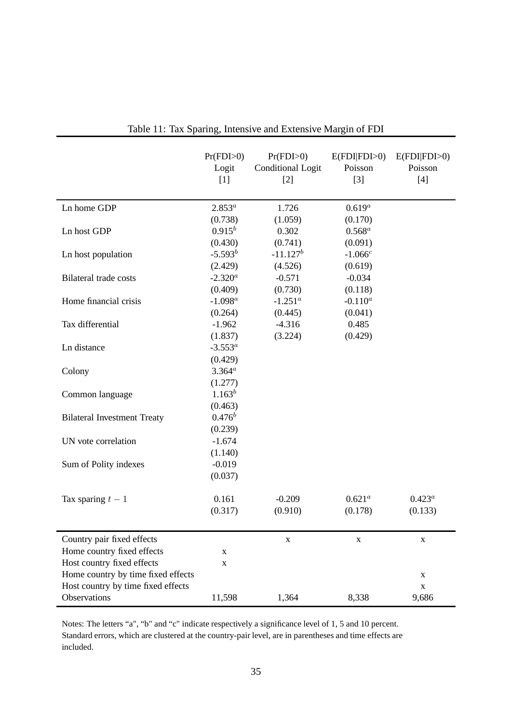|                                    | Pr(FDI>0)<br>Logit<br>$[1]$ | Pr(FDI>0)<br><b>Conditional Logit</b><br>$[2]$ | E(FDI FDI>0)<br>Poisson<br>$[3]$ | E(FDI FDI>0)<br>Poisson<br>$[4]$ |
|------------------------------------|-----------------------------|------------------------------------------------|----------------------------------|----------------------------------|
| Ln home GDP                        | $2.853^{a}$                 | 1.726                                          | $0.619^{a}$                      |                                  |
|                                    | (0.738)                     | (1.059)                                        | (0.170)                          |                                  |
| Ln host GDP                        | $0.915^{b}$                 | 0.302                                          | $0.568^a$                        |                                  |
|                                    | (0.430)                     | (0.741)                                        | (0.091)                          |                                  |
| Ln host population                 | $-5.593^{b}$                | $-11.127^b$                                    | $-1.066c$                        |                                  |
|                                    | (2.429)                     | (4.526)                                        | (0.619)                          |                                  |
| <b>Bilateral trade costs</b>       | $-2.320^a$                  | $-0.571$                                       | $-0.034$                         |                                  |
|                                    | (0.409)                     | (0.730)                                        | (0.118)                          |                                  |
| Home financial crisis              | $-1.098^a$                  | $-1.251^a$                                     | $-0.110^a$                       |                                  |
|                                    | (0.264)                     | (0.445)                                        | (0.041)                          |                                  |
| Tax differential                   | $-1.962$                    | $-4.316$                                       | 0.485                            |                                  |
|                                    | (1.837)                     | (3.224)                                        | (0.429)                          |                                  |
| Ln distance                        | $-3.553^a$                  |                                                |                                  |                                  |
|                                    | (0.429)                     |                                                |                                  |                                  |
| Colony                             | $3.364^{a}$                 |                                                |                                  |                                  |
|                                    | (1.277)                     |                                                |                                  |                                  |
| Common language                    | $1.163^{b}$                 |                                                |                                  |                                  |
|                                    | (0.463)                     |                                                |                                  |                                  |
| <b>Bilateral Investment Treaty</b> | $0.476^b$                   |                                                |                                  |                                  |
|                                    | (0.239)                     |                                                |                                  |                                  |
| UN vote correlation                | $-1.674$                    |                                                |                                  |                                  |
|                                    | (1.140)                     |                                                |                                  |                                  |
| Sum of Polity indexes              | $-0.019$                    |                                                |                                  |                                  |
|                                    | (0.037)                     |                                                |                                  |                                  |
|                                    |                             |                                                |                                  |                                  |
| Tax sparing $t-1$                  | 0.161                       | $-0.209$                                       | $0.621^a$                        | $0.423^a$                        |
|                                    | (0.317)                     | (0.910)                                        | (0.178)                          | (0.133)                          |
|                                    |                             |                                                |                                  |                                  |
| Country pair fixed effects         |                             | $\mathbf X$                                    | X                                | X                                |
| Home country fixed effects         | X                           |                                                |                                  |                                  |
| Host country fixed effects         | X                           |                                                |                                  |                                  |
| Home country by time fixed effects |                             |                                                |                                  | X                                |
| Host country by time fixed effects |                             |                                                |                                  | $\mathbf X$                      |
| Observations                       | 11,598                      | 1,364                                          | 8,338                            | 9,686                            |

| Table 11: Tax Sparing, Intensive and Extensive Margin of FDI |  |  |  |  |  |  |  |  |  |
|--------------------------------------------------------------|--|--|--|--|--|--|--|--|--|
|--------------------------------------------------------------|--|--|--|--|--|--|--|--|--|

Notes: The letters "a", "b" and "c" indicate respectively a significance level of 1, 5 and 10 percent. Standard errors, which are clustered at the country-pair level, are in parentheses and time effects are included.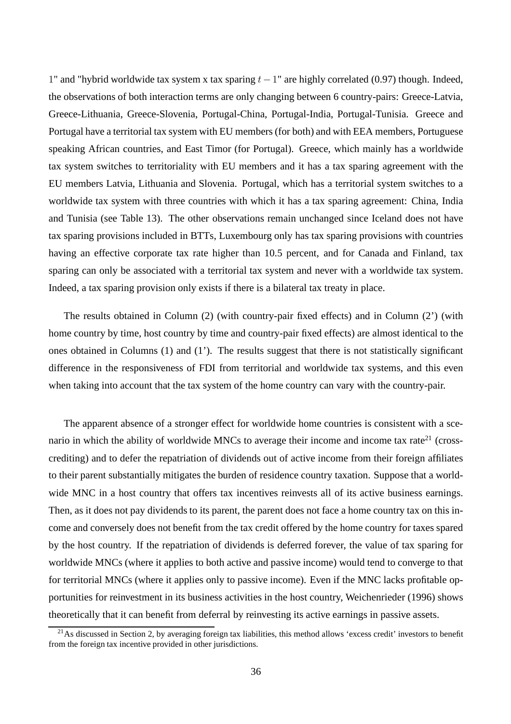1" and "hybrid worldwide tax system x tax sparing  $t-1$ " are highly correlated (0.97) though. Indeed, the observations of both interaction terms are only changing between 6 country-pairs: Greece-Latvia, Greece-Lithuania, Greece-Slovenia, Portugal-China, Portugal-India, Portugal-Tunisia. Greece and Portugal have a territorial tax system with EU members (for both) and with EEA members, Portuguese speaking African countries, and East Timor (for Portugal). Greece, which mainly has a worldwide tax system switches to territoriality with EU members and it has a tax sparing agreement with the EU members Latvia, Lithuania and Slovenia. Portugal, which has a territorial system switches to a worldwide tax system with three countries with which it has a tax sparing agreement: China, India and Tunisia (see Table 13). The other observations remain unchanged since Iceland does not have tax sparing provisions included in BTTs, Luxembourg only has tax sparing provisions with countries having an effective corporate tax rate higher than 10.5 percent, and for Canada and Finland, tax sparing can only be associated with a territorial tax system and never with a worldwide tax system. Indeed, a tax sparing provision only exists if there is a bilateral tax treaty in place.

The results obtained in Column (2) (with country-pair fixed effects) and in Column (2') (with home country by time, host country by time and country-pair fixed effects) are almost identical to the ones obtained in Columns (1) and (1'). The results suggest that there is not statistically significant difference in the responsiveness of FDI from territorial and worldwide tax systems, and this even when taking into account that the tax system of the home country can vary with the country-pair.

The apparent absence of a stronger effect for worldwide home countries is consistent with a scenario in which the ability of worldwide MNCs to average their income and income tax rate<sup>21</sup> (crosscrediting) and to defer the repatriation of dividends out of active income from their foreign affiliates to their parent substantially mitigates the burden of residence country taxation. Suppose that a worldwide MNC in a host country that offers tax incentives reinvests all of its active business earnings. Then, as it does not pay dividends to its parent, the parent does not face a home country tax on this income and conversely does not benefit from the tax credit offered by the home country for taxes spared by the host country. If the repatriation of dividends is deferred forever, the value of tax sparing for worldwide MNCs (where it applies to both active and passive income) would tend to converge to that for territorial MNCs (where it applies only to passive income). Even if the MNC lacks profitable opportunities for reinvestment in its business activities in the host country, Weichenrieder (1996) shows theoretically that it can benefit from deferral by reinvesting its active earnings in passive assets.

 $21$ As discussed in Section 2, by averaging foreign tax liabilities, this method allows 'excess credit' investors to benefit from the foreign tax incentive provided in other jurisdictions.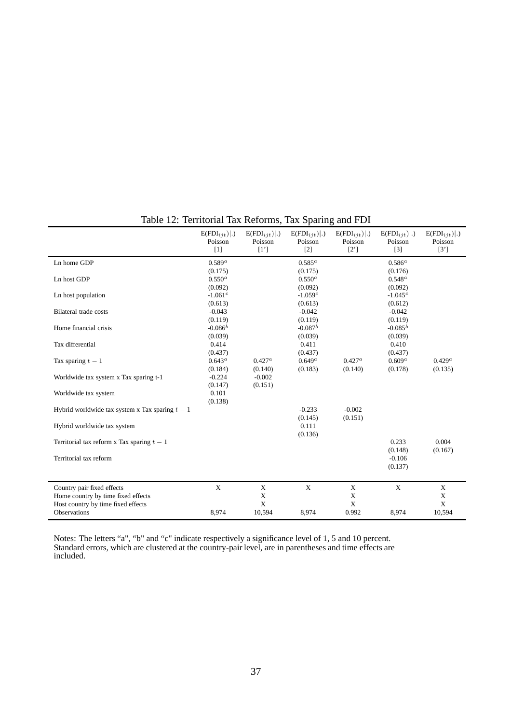|                                                 | $E(FDI_{iit}) .$<br>Poisson<br>$[1]$ | $E(FDI_{iit}) .$<br>Poisson<br>[1'] | $E(FDI_{iit}) .$<br>Poisson<br>$[2]$ | $E(FDI_{iit}) .$<br>Poisson<br>$[2^{\prime}]$ | $E(FDI_{iit}) .$<br>Poisson<br>$[3]$ | $E(FDI_{ijt}) .$<br>Poisson<br>$[3^{\prime}]$ |
|-------------------------------------------------|--------------------------------------|-------------------------------------|--------------------------------------|-----------------------------------------------|--------------------------------------|-----------------------------------------------|
| Ln home GDP                                     | $0.589^{a}$                          |                                     | $0.585^{a}$                          |                                               | $0.586^a$                            |                                               |
|                                                 | (0.175)                              |                                     | (0.175)                              |                                               | (0.176)                              |                                               |
| Ln host GDP                                     | $0.550^a$                            |                                     | $0.550^a$                            |                                               | $0.548^a$                            |                                               |
|                                                 | (0.092)                              |                                     | (0.092)                              |                                               | (0.092)                              |                                               |
| Ln host population                              | $-1.061^c$                           |                                     | $-1.059c$                            |                                               | $-1.045^{c}$                         |                                               |
|                                                 | (0.613)                              |                                     | (0.613)                              |                                               | (0.612)                              |                                               |
| <b>Bilateral trade costs</b>                    | $-0.043$                             |                                     | $-0.042$                             |                                               | $-0.042$                             |                                               |
|                                                 | (0.119)                              |                                     | (0.119)                              |                                               | (0.119)                              |                                               |
| Home financial crisis                           | $-0.086^b$                           |                                     | $-0.087^b$                           |                                               | $-0.085^{b}$                         |                                               |
|                                                 | (0.039)                              |                                     | (0.039)                              |                                               | (0.039)                              |                                               |
| Tax differential                                | 0.414                                |                                     | 0.411                                |                                               | 0.410                                |                                               |
|                                                 | (0.437)                              |                                     | (0.437)                              |                                               | (0.437)                              |                                               |
| Tax sparing $t-1$                               | $0.643^a$                            | $0.427^a$                           | $0.649^a$                            | $0.427^a$                                     | $0.609^a$                            | $0.429^a$                                     |
|                                                 | (0.184)                              | (0.140)                             | (0.183)                              | (0.140)                                       | (0.178)                              | (0.135)                                       |
| Worldwide tax system x Tax sparing t-1          | $-0.224$                             | $-0.002$                            |                                      |                                               |                                      |                                               |
|                                                 | (0.147)                              | (0.151)                             |                                      |                                               |                                      |                                               |
| Worldwide tax system                            | 0.101                                |                                     |                                      |                                               |                                      |                                               |
|                                                 | (0.138)                              |                                     |                                      |                                               |                                      |                                               |
| Hybrid worldwide tax system x Tax sparing $t-1$ |                                      |                                     | $-0.233$                             | $-0.002$                                      |                                      |                                               |
|                                                 |                                      |                                     | (0.145)                              | (0.151)                                       |                                      |                                               |
| Hybrid worldwide tax system                     |                                      |                                     | 0.111                                |                                               |                                      |                                               |
|                                                 |                                      |                                     | (0.136)                              |                                               |                                      |                                               |
| Territorial tax reform x Tax sparing $t-1$      |                                      |                                     |                                      |                                               | 0.233                                | 0.004                                         |
|                                                 |                                      |                                     |                                      |                                               | (0.148)                              | (0.167)                                       |
| Territorial tax reform                          |                                      |                                     |                                      |                                               | $-0.106$                             |                                               |
|                                                 |                                      |                                     |                                      |                                               | (0.137)                              |                                               |
|                                                 |                                      |                                     |                                      |                                               |                                      |                                               |
| Country pair fixed effects                      | X                                    | X                                   | $\mathbf X$                          | X                                             | $\mathbf X$                          | $\mathbf X$                                   |
| Home country by time fixed effects              |                                      | X                                   |                                      | X                                             |                                      | X                                             |
| Host country by time fixed effects              |                                      | X                                   |                                      | X                                             |                                      | $\mathbf X$                                   |
| Observations                                    | 8,974                                | 10,594                              | 8.974                                | 0.992                                         | 8,974                                | 10,594                                        |
|                                                 |                                      |                                     |                                      |                                               |                                      |                                               |

# Table 12: Territorial Tax Reforms, Tax Sparing and FDI

Notes: The letters "a", "b" and "c" indicate respectively a significance level of 1, 5 and 10 percent. Standard errors, which are clustered at the country-pair level, are in parentheses and time effects are included.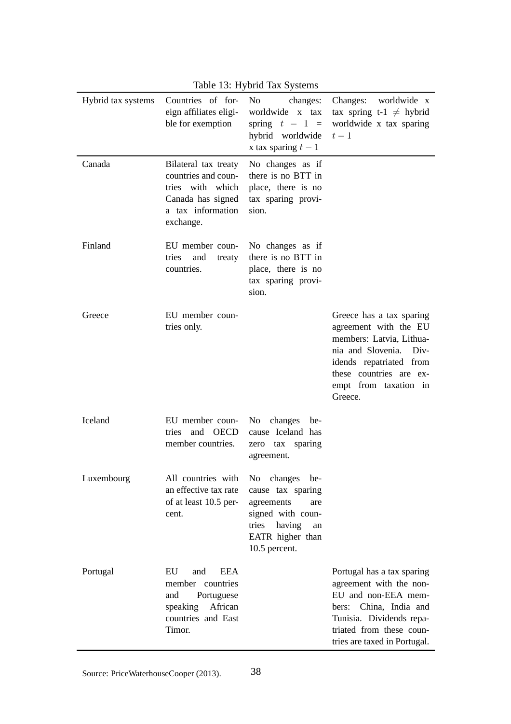| Hybrid tax systems | Countries of for-<br>eign affiliates eligi-<br>ble for exemption                                                       | No.<br>changes:<br>worldwide x tax<br>spring $t - 1 =$<br>hybrid worldwide<br>x tax sparing $t-1$                         | Changes: worldwide x<br>tax spring t-1 $\neq$ hybrid<br>worldwide x tax sparing<br>$t-1$                                                                                                          |
|--------------------|------------------------------------------------------------------------------------------------------------------------|---------------------------------------------------------------------------------------------------------------------------|---------------------------------------------------------------------------------------------------------------------------------------------------------------------------------------------------|
| Canada             | Bilateral tax treaty<br>countries and coun-<br>tries with which<br>Canada has signed<br>a tax information<br>exchange. | No changes as if<br>there is no BTT in<br>place, there is no<br>tax sparing provi-<br>sion.                               |                                                                                                                                                                                                   |
| Finland            | EU member coun-<br>and<br>tries<br>treaty<br>countries.                                                                | No changes as if<br>there is no BTT in<br>place, there is no<br>tax sparing provi-<br>sion.                               |                                                                                                                                                                                                   |
| Greece             | EU member coun-<br>tries only.                                                                                         |                                                                                                                           | Greece has a tax sparing<br>agreement with the EU<br>members: Latvia, Lithua-<br>nia and Slovenia. Div-<br>idends repatriated from<br>these countries are ex-<br>empt from taxation in<br>Greece. |
| Iceland            | EU member coun-<br>and OECD<br>tries<br>member countries.                                                              | No changes be-<br>cause Iceland has<br>zero tax sparing<br>agreement.                                                     |                                                                                                                                                                                                   |
| Luxembourg         | All countries with No changes be-<br>an effective tax rate<br>of at least 10.5 per-<br>cent.                           | cause tax sparing<br>agreements<br>are<br>signed with coun-<br>tries<br>having<br>an<br>EATR higher than<br>10.5 percent. |                                                                                                                                                                                                   |
| Portugal           | EU<br>EEA<br>and<br>member countries<br>Portuguese<br>and<br>speaking African<br>countries and East<br>Timor.          |                                                                                                                           | Portugal has a tax sparing<br>agreement with the non-<br>EU and non-EEA mem-<br>bers: China, India and<br>Tunisia. Dividends repa-<br>triated from these coun-<br>tries are taxed in Portugal.    |

Table 13: Hybrid Tax Systems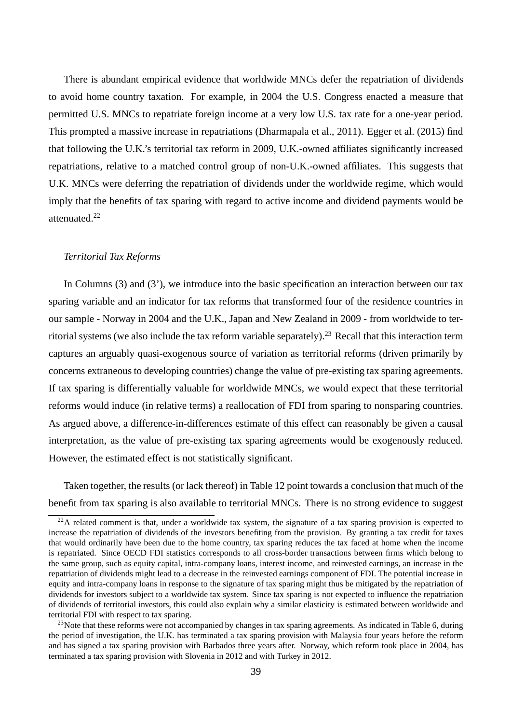There is abundant empirical evidence that worldwide MNCs defer the repatriation of dividends to avoid home country taxation. For example, in 2004 the U.S. Congress enacted a measure that permitted U.S. MNCs to repatriate foreign income at a very low U.S. tax rate for a one-year period. This prompted a massive increase in repatriations (Dharmapala et al., 2011). Egger et al. (2015) find that following the U.K.'s territorial tax reform in 2009, U.K.-owned affiliates significantly increased repatriations, relative to a matched control group of non-U.K.-owned affiliates. This suggests that U.K. MNCs were deferring the repatriation of dividends under the worldwide regime, which would imply that the benefits of tax sparing with regard to active income and dividend payments would be attenuated<sup>22</sup>

#### *Territorial Tax Reforms*

In Columns (3) and (3'), we introduce into the basic specification an interaction between our tax sparing variable and an indicator for tax reforms that transformed four of the residence countries in our sample - Norway in 2004 and the U.K., Japan and New Zealand in 2009 - from worldwide to territorial systems (we also include the tax reform variable separately).<sup>23</sup> Recall that this interaction term captures an arguably quasi-exogenous source of variation as territorial reforms (driven primarily by concerns extraneous to developing countries) change the value of pre-existing tax sparing agreements. If tax sparing is differentially valuable for worldwide MNCs, we would expect that these territorial reforms would induce (in relative terms) a reallocation of FDI from sparing to nonsparing countries. As argued above, a difference-in-differences estimate of this effect can reasonably be given a causal interpretation, as the value of pre-existing tax sparing agreements would be exogenously reduced. However, the estimated effect is not statistically significant.

Taken together, the results (or lack thereof) in Table 12 point towards a conclusion that much of the benefit from tax sparing is also available to territorial MNCs. There is no strong evidence to suggest

 $^{22}$ A related comment is that, under a worldwide tax system, the signature of a tax sparing provision is expected to increase the repatriation of dividends of the investors benefiting from the provision. By granting a tax credit for taxes that would ordinarily have been due to the home country, tax sparing reduces the tax faced at home when the income is repatriated. Since OECD FDI statistics corresponds to all cross-border transactions between firms which belong to the same group, such as equity capital, intra-company loans, interest income, and reinvested earnings, an increase in the repatriation of dividends might lead to a decrease in the reinvested earnings component of FDI. The potential increase in equity and intra-company loans in response to the signature of tax sparing might thus be mitigated by the repatriation of dividends for investors subject to a worldwide tax system. Since tax sparing is not expected to influence the repatriation of dividends of territorial investors, this could also explain why a similar elasticity is estimated between worldwide and territorial FDI with respect to tax sparing.

<sup>&</sup>lt;sup>23</sup>Note that these reforms were not accompanied by changes in tax sparing agreements. As indicated in Table 6, during the period of investigation, the U.K. has terminated a tax sparing provision with Malaysia four years before the reform and has signed a tax sparing provision with Barbados three years after. Norway, which reform took place in 2004, has terminated a tax sparing provision with Slovenia in 2012 and with Turkey in 2012.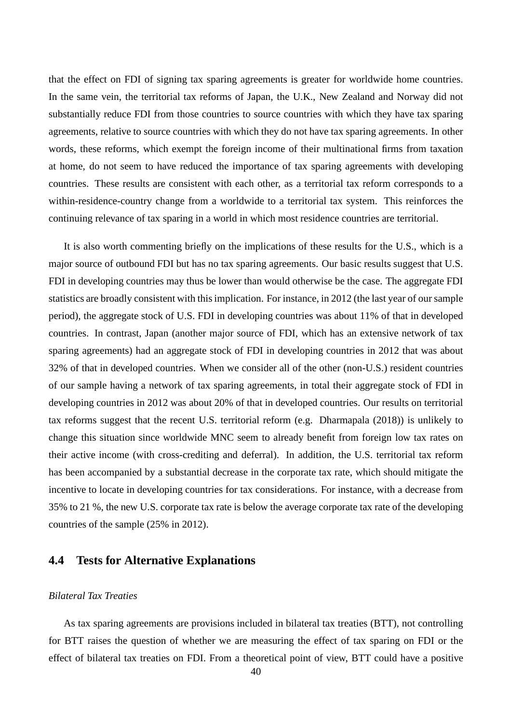that the effect on FDI of signing tax sparing agreements is greater for worldwide home countries. In the same vein, the territorial tax reforms of Japan, the U.K., New Zealand and Norway did not substantially reduce FDI from those countries to source countries with which they have tax sparing agreements, relative to source countries with which they do not have tax sparing agreements. In other words, these reforms, which exempt the foreign income of their multinational firms from taxation at home, do not seem to have reduced the importance of tax sparing agreements with developing countries. These results are consistent with each other, as a territorial tax reform corresponds to a within-residence-country change from a worldwide to a territorial tax system. This reinforces the continuing relevance of tax sparing in a world in which most residence countries are territorial.

It is also worth commenting briefly on the implications of these results for the U.S., which is a major source of outbound FDI but has no tax sparing agreements. Our basic results suggest that U.S. FDI in developing countries may thus be lower than would otherwise be the case. The aggregate FDI statistics are broadly consistent with this implication. For instance, in 2012 (the last year of our sample period), the aggregate stock of U.S. FDI in developing countries was about 11% of that in developed countries. In contrast, Japan (another major source of FDI, which has an extensive network of tax sparing agreements) had an aggregate stock of FDI in developing countries in 2012 that was about 32% of that in developed countries. When we consider all of the other (non-U.S.) resident countries of our sample having a network of tax sparing agreements, in total their aggregate stock of FDI in developing countries in 2012 was about 20% of that in developed countries. Our results on territorial tax reforms suggest that the recent U.S. territorial reform (e.g. Dharmapala (2018)) is unlikely to change this situation since worldwide MNC seem to already benefit from foreign low tax rates on their active income (with cross-crediting and deferral). In addition, the U.S. territorial tax reform has been accompanied by a substantial decrease in the corporate tax rate, which should mitigate the incentive to locate in developing countries for tax considerations. For instance, with a decrease from 35% to 21 %, the new U.S. corporate tax rate is below the average corporate tax rate of the developing countries of the sample (25% in 2012).

## **4.4 Tests for Alternative Explanations**

### *Bilateral Tax Treaties*

As tax sparing agreements are provisions included in bilateral tax treaties (BTT), not controlling for BTT raises the question of whether we are measuring the effect of tax sparing on FDI or the effect of bilateral tax treaties on FDI. From a theoretical point of view, BTT could have a positive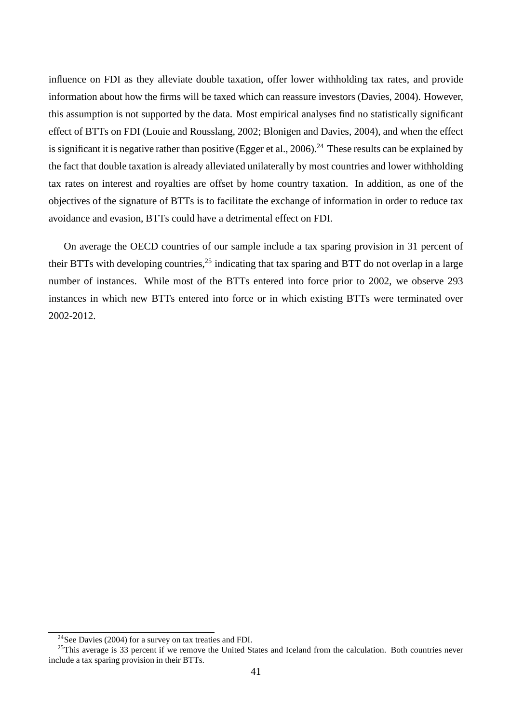influence on FDI as they alleviate double taxation, offer lower withholding tax rates, and provide information about how the firms will be taxed which can reassure investors (Davies, 2004). However, this assumption is not supported by the data. Most empirical analyses find no statistically significant effect of BTTs on FDI (Louie and Rousslang, 2002; Blonigen and Davies, 2004), and when the effect is significant it is negative rather than positive (Egger et al., 2006).<sup>24</sup> These results can be explained by the fact that double taxation is already alleviated unilaterally by most countries and lower withholding tax rates on interest and royalties are offset by home country taxation. In addition, as one of the objectives of the signature of BTTs is to facilitate the exchange of information in order to reduce tax avoidance and evasion, BTTs could have a detrimental effect on FDI.

On average the OECD countries of our sample include a tax sparing provision in 31 percent of their BTTs with developing countries,<sup>25</sup> indicating that tax sparing and BTT do not overlap in a large number of instances. While most of the BTTs entered into force prior to 2002, we observe 293 instances in which new BTTs entered into force or in which existing BTTs were terminated over 2002-2012.

<sup>24</sup>See Davies (2004) for a survey on tax treaties and FDI.

 $^{25}$ This average is 33 percent if we remove the United States and Iceland from the calculation. Both countries never include a tax sparing provision in their BTTs.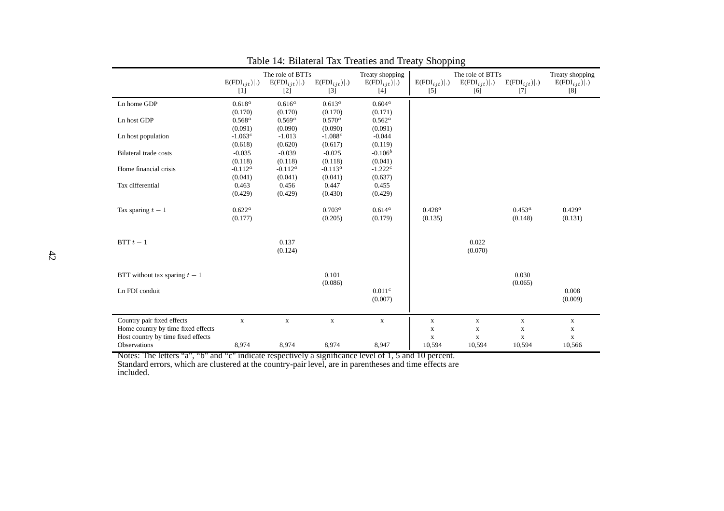|                                    |                  | The role of BTTs |                  | Treaty shopping       |                  | The role of BTTs |                  | Treaty shopping  |
|------------------------------------|------------------|------------------|------------------|-----------------------|------------------|------------------|------------------|------------------|
|                                    | $E(FDI_{ijt}) .$ | $E(FDI_{ijt}) .$ | $E(FDI_{ijt}) .$ | $E(FDI_{i\,it}) .)$   | $E(FDI_{ijt}) .$ | $E(FDI_{ijt}) .$ | $E(FDI_{ijt}) .$ | $E(FDI_{ijt}) .$ |
|                                    | $[1]$            | $[2]$            | $[3]$            | $[4]$                 | $[5]$            | [6]              | $[7]$            | [8]              |
| Ln home GDP                        | $0.618^a$        | $0.616^a$        | $0.613^a$        | $0.604^a$             |                  |                  |                  |                  |
|                                    | (0.170)          | (0.170)          | (0.170)          | (0.171)               |                  |                  |                  |                  |
| Ln host GDP                        | $0.568^a$        | $0.569^{a}$      | $0.570^a$        | $0.562^a$             |                  |                  |                  |                  |
|                                    | (0.091)          | (0.090)          | (0.090)          | (0.091)               |                  |                  |                  |                  |
| Ln host population                 | $-1.063^{c}$     | $-1.013$         | $-1.088c$        | $-0.044$              |                  |                  |                  |                  |
|                                    | (0.618)          | (0.620)          | (0.617)          | (0.119)               |                  |                  |                  |                  |
| Bilateral trade costs              | $-0.035$         | $-0.039$         | $-0.025$         | $-0.106^b$            |                  |                  |                  |                  |
|                                    | (0.118)          | (0.118)          | (0.118)          | (0.041)               |                  |                  |                  |                  |
| Home financial crisis              | $-0.112^a$       | $-0.112^a$       | $-0.113^a$       | $-1.222$ <sup>c</sup> |                  |                  |                  |                  |
|                                    | (0.041)          | (0.041)          | (0.041)          | (0.637)               |                  |                  |                  |                  |
| Tax differential                   | 0.463            | 0.456            | 0.447            | 0.455                 |                  |                  |                  |                  |
|                                    | (0.429)          | (0.429)          | (0.430)          | (0.429)               |                  |                  |                  |                  |
|                                    |                  |                  |                  |                       |                  |                  |                  |                  |
| Tax sparing $t-1$                  | $0.622^a$        |                  | $0.703^a$        | $0.614^a$             | $0.428^a$        |                  | $0.453^a$        | $0.429^a$        |
|                                    | (0.177)          |                  | (0.205)          | (0.179)               | (0.135)          |                  | (0.148)          | (0.131)          |
|                                    |                  |                  |                  |                       |                  |                  |                  |                  |
|                                    |                  |                  |                  |                       |                  |                  |                  |                  |
| BTT $t-1$                          |                  | 0.137            |                  |                       |                  | 0.022            |                  |                  |
|                                    |                  | (0.124)          |                  |                       |                  | (0.070)          |                  |                  |
|                                    |                  |                  |                  |                       |                  |                  |                  |                  |
|                                    |                  |                  |                  |                       |                  |                  |                  |                  |
| BTT without tax sparing $t-1$      |                  |                  | 0.101            |                       |                  |                  | 0.030            |                  |
|                                    |                  |                  | (0.086)          |                       |                  |                  | (0.065)          |                  |
| Ln FDI conduit                     |                  |                  |                  | 0.011 <sup>c</sup>    |                  |                  |                  | 0.008            |
|                                    |                  |                  |                  | (0.007)               |                  |                  |                  | (0.009)          |
|                                    |                  |                  |                  |                       |                  |                  |                  |                  |
| Country pair fixed effects         | $\mathbf X$      | $\mathbf X$      | $\mathbf X$      | $\mathbf X$           | $\mathbf X$      | $\mathbf X$      | $\mathbf X$      | $\mathbf X$      |
| Home country by time fixed effects |                  |                  |                  |                       | $\mathbf X$      | $\mathbf X$      | $\mathbf X$      | $\mathbf X$      |
| Host country by time fixed effects |                  |                  |                  |                       | $\mathbf X$      | $\mathbf X$      | $\mathbf X$      | $\mathbf X$      |
| Observations                       | 8,974            | 8,974            | 8,974            | 8,947                 | 10,594           | 10,594           | 10,594           | 10,566           |
|                                    |                  |                  |                  |                       |                  |                  |                  |                  |

Table 14: Bilateral Tax Treaties and Treaty Shopping

Notes: The letters "a", "b" and "c" indicate respectively <sup>a</sup> significance level of 1, 5 and 10 percent.

Standard errors, which are clustered at the country-pair level, are in parentheses and time effects are included.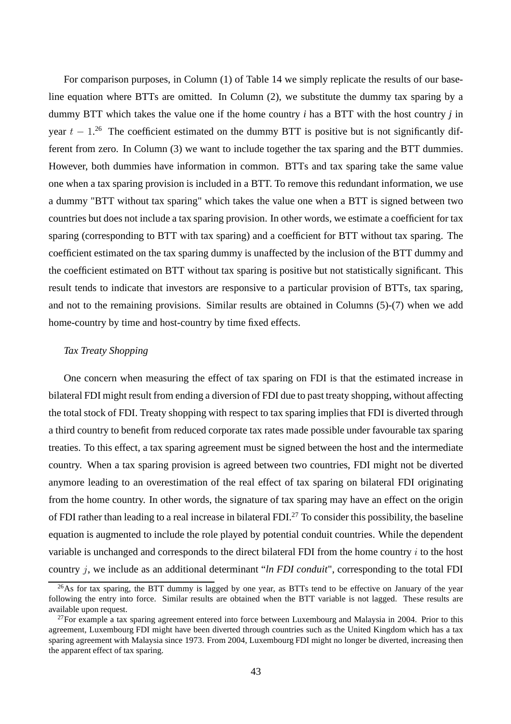For comparison purposes, in Column (1) of Table 14 we simply replicate the results of our baseline equation where BTTs are omitted. In Column (2), we substitute the dummy tax sparing by a dummy BTT which takes the value one if the home country *i* has a BTT with the host country *j* in year  $t - 1$ .<sup>26</sup> The coefficient estimated on the dummy BTT is positive but is not significantly different from zero. In Column (3) we want to include together the tax sparing and the BTT dummies. However, both dummies have information in common. BTTs and tax sparing take the same value one when a tax sparing provision is included in a BTT. To remove this redundant information, we use a dummy "BTT without tax sparing" which takes the value one when a BTT is signed between two countries but does not include a tax sparing provision. In other words, we estimate a coefficient for tax sparing (corresponding to BTT with tax sparing) and a coefficient for BTT without tax sparing. The coefficient estimated on the tax sparing dummy is unaffected by the inclusion of the BTT dummy and the coefficient estimated on BTT without tax sparing is positive but not statistically significant. This result tends to indicate that investors are responsive to a particular provision of BTTs, tax sparing, and not to the remaining provisions. Similar results are obtained in Columns (5)-(7) when we add home-country by time and host-country by time fixed effects.

#### *Tax Treaty Shopping*

One concern when measuring the effect of tax sparing on FDI is that the estimated increase in bilateral FDI might result from ending a diversion of FDI due to past treaty shopping, without affecting the total stock of FDI. Treaty shopping with respect to tax sparing implies that FDI is diverted through a third country to benefit from reduced corporate tax rates made possible under favourable tax sparing treaties. To this effect, a tax sparing agreement must be signed between the host and the intermediate country. When a tax sparing provision is agreed between two countries, FDI might not be diverted anymore leading to an overestimation of the real effect of tax sparing on bilateral FDI originating from the home country. In other words, the signature of tax sparing may have an effect on the origin of FDI rather than leading to a real increase in bilateral FDI.<sup>27</sup> To consider this possibility, the baseline equation is augmented to include the role played by potential conduit countries. While the dependent variable is unchanged and corresponds to the direct bilateral FDI from the home country  $i$  to the host country j, we include as an additional determinant "*ln FDI conduit*", corresponding to the total FDI

<sup>&</sup>lt;sup>26</sup>As for tax sparing, the BTT dummy is lagged by one year, as BTTs tend to be effective on January of the year following the entry into force. Similar results are obtained when the BTT variable is not lagged. These results are available upon request.

 $^{27}$ For example a tax sparing agreement entered into force between Luxembourg and Malaysia in 2004. Prior to this agreement, Luxembourg FDI might have been diverted through countries such as the United Kingdom which has a tax sparing agreement with Malaysia since 1973. From 2004, Luxembourg FDI might no longer be diverted, increasing then the apparent effect of tax sparing.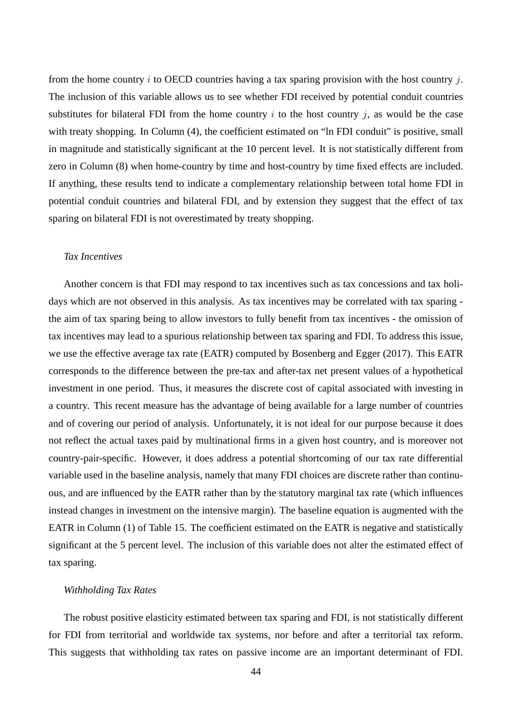from the home country i to OECD countries having a tax sparing provision with the host country j. The inclusion of this variable allows us to see whether FDI received by potential conduit countries substitutes for bilateral FDI from the home country  $i$  to the host country  $j$ , as would be the case with treaty shopping. In Column (4), the coefficient estimated on "ln FDI conduit" is positive, small in magnitude and statistically significant at the 10 percent level. It is not statistically different from zero in Column (8) when home-country by time and host-country by time fixed effects are included. If anything, these results tend to indicate a complementary relationship between total home FDI in potential conduit countries and bilateral FDI, and by extension they suggest that the effect of tax sparing on bilateral FDI is not overestimated by treaty shopping.

### *Tax Incentives*

Another concern is that FDI may respond to tax incentives such as tax concessions and tax holidays which are not observed in this analysis. As tax incentives may be correlated with tax sparing the aim of tax sparing being to allow investors to fully benefit from tax incentives - the omission of tax incentives may lead to a spurious relationship between tax sparing and FDI. To address this issue, we use the effective average tax rate (EATR) computed by Bosenberg and Egger (2017). This EATR corresponds to the difference between the pre-tax and after-tax net present values of a hypothetical investment in one period. Thus, it measures the discrete cost of capital associated with investing in a country. This recent measure has the advantage of being available for a large number of countries and of covering our period of analysis. Unfortunately, it is not ideal for our purpose because it does not reflect the actual taxes paid by multinational firms in a given host country, and is moreover not country-pair-specific. However, it does address a potential shortcoming of our tax rate differential variable used in the baseline analysis, namely that many FDI choices are discrete rather than continuous, and are influenced by the EATR rather than by the statutory marginal tax rate (which influences instead changes in investment on the intensive margin). The baseline equation is augmented with the EATR in Column (1) of Table 15. The coefficient estimated on the EATR is negative and statistically significant at the 5 percent level. The inclusion of this variable does not alter the estimated effect of tax sparing.

### *Withholding Tax Rates*

The robust positive elasticity estimated between tax sparing and FDI, is not statistically different for FDI from territorial and worldwide tax systems, nor before and after a territorial tax reform. This suggests that withholding tax rates on passive income are an important determinant of FDI.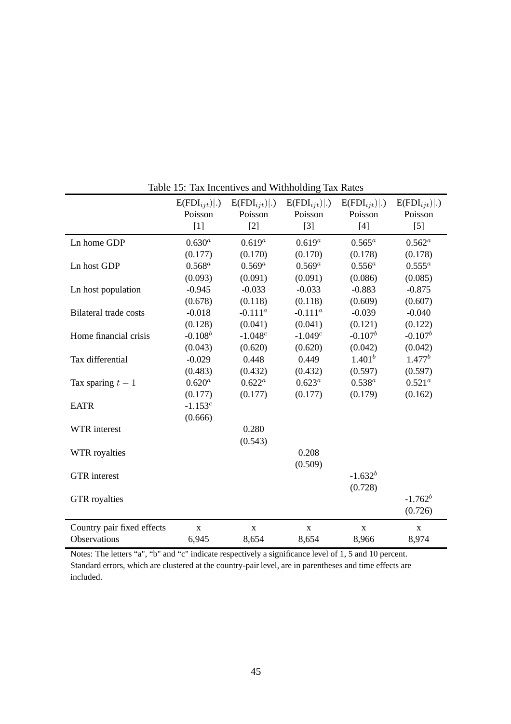|                              | $E(FDI_{ijt}) .$ | $E(FDI_{ijt}) .$ | $E(FDI_{ijt}) .$ | $E(FDI_{ijt}) .$ | $E(FDI_{ijt}) .$ |
|------------------------------|------------------|------------------|------------------|------------------|------------------|
|                              | Poisson          | Poisson          | Poisson          | Poisson          | Poisson          |
|                              | $[1]$            | $[2]$            | $[3]$            | $[4]$            | $[5]$            |
| Ln home GDP                  | $0.630^{a}$      | $0.619^{a}$      | $0.619^{a}$      | $0.565^a$        | $0.562^a$        |
|                              | (0.177)          | (0.170)          | (0.170)          | (0.178)          | (0.178)          |
| Ln host GDP                  | $0.568^a$        | $0.569^a$        | $0.569^a$        | $0.556^a$        | $0.555^a$        |
|                              | (0.093)          | (0.091)          | (0.091)          | (0.086)          | (0.085)          |
| Ln host population           | $-0.945$         | $-0.033$         | $-0.033$         | $-0.883$         | $-0.875$         |
|                              | (0.678)          | (0.118)          | (0.118)          | (0.609)          | (0.607)          |
| <b>Bilateral trade costs</b> | $-0.018$         | $-0.111^a$       | $-0.111^a$       | $-0.039$         | $-0.040$         |
|                              | (0.128)          | (0.041)          | (0.041)          | (0.121)          | (0.122)          |
| Home financial crisis        | $-0.108^b$       | $-1.048c$        | $-1.049c$        | $-0.107^b$       | $-0.107^b$       |
|                              | (0.043)          | (0.620)          | (0.620)          | (0.042)          | (0.042)          |
| Tax differential             | $-0.029$         | 0.448            | 0.449            | $1.401^{b}$      | $1.477^b$        |
|                              | (0.483)          | (0.432)          | (0.432)          | (0.597)          | (0.597)          |
| Tax sparing $t-1$            | $0.620^{a}$      | $0.622^a$        | $0.623^{a}$      | $0.538^{a}$      | $0.521^{a}$      |
|                              | (0.177)          | (0.177)          | (0.177)          | (0.179)          | (0.162)          |
| <b>EATR</b>                  | $-1.153^{c}$     |                  |                  |                  |                  |
|                              | (0.666)          |                  |                  |                  |                  |
| WTR interest                 |                  | 0.280            |                  |                  |                  |
|                              |                  | (0.543)          |                  |                  |                  |
| WTR royalties                |                  |                  | 0.208            |                  |                  |
|                              |                  |                  | (0.509)          |                  |                  |
| <b>GTR</b> interest          |                  |                  |                  | $-1.632^b$       |                  |
|                              |                  |                  |                  | (0.728)          |                  |
| <b>GTR</b> royalties         |                  |                  |                  |                  | $-1.762^b$       |
|                              |                  |                  |                  |                  | (0.726)          |
| Country pair fixed effects   | $\mathbf X$      | $\mathbf X$      | X                | $\mathbf X$      | $\mathbf X$      |
| Observations                 | 6,945            | 8,654            | 8,654            | 8,966            | 8,974            |

Table 15: Tax Incentives and Withholding Tax Rates

Notes: The letters "a", "b" and "c" indicate respectively a significance level of 1, 5 and 10 percent. Standard errors, which are clustered at the country-pair level, are in parentheses and time effects are included.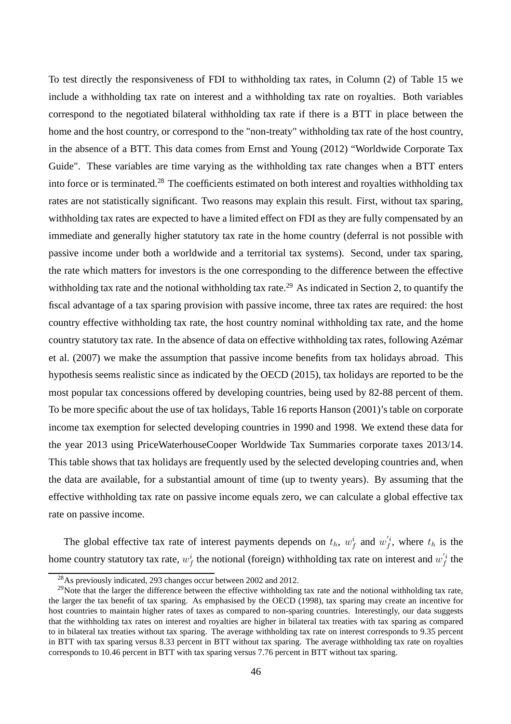To test directly the responsiveness of FDI to withholding tax rates, in Column (2) of Table 15 we include a withholding tax rate on interest and a withholding tax rate on royalties. Both variables correspond to the negotiated bilateral withholding tax rate if there is a BTT in place between the home and the host country, or correspond to the "non-treaty" withholding tax rate of the host country, in the absence of a BTT. This data comes from Ernst and Young (2012) "Worldwide Corporate Tax Guide". These variables are time varying as the withholding tax rate changes when a BTT enters into force or is terminated.<sup>28</sup> The coefficients estimated on both interest and royalties withholding tax rates are not statistically significant. Two reasons may explain this result. First, without tax sparing, withholding tax rates are expected to have a limited effect on FDI as they are fully compensated by an immediate and generally higher statutory tax rate in the home country (deferral is not possible with passive income under both a worldwide and a territorial tax systems). Second, under tax sparing, the rate which matters for investors is the one corresponding to the difference between the effective withholding tax rate and the notional withholding tax rate.<sup>29</sup> As indicated in Section 2, to quantify the fiscal advantage of a tax sparing provision with passive income, three tax rates are required: the host country effective withholding tax rate, the host country nominal withholding tax rate, and the home country statutory tax rate. In the absence of data on effective withholding tax rates, following Azémar et al. (2007) we make the assumption that passive income benefits from tax holidays abroad. This hypothesis seems realistic since as indicated by the OECD (2015), tax holidays are reported to be the most popular tax concessions offered by developing countries, being used by 82-88 percent of them. To be more specific about the use of tax holidays, Table 16 reports Hanson (2001)'s table on corporate income tax exemption for selected developing countries in 1990 and 1998. We extend these data for the year 2013 using PriceWaterhouseCooper Worldwide Tax Summaries corporate taxes 2013/14. This table shows that tax holidays are frequently used by the selected developing countries and, when the data are available, for a substantial amount of time (up to twenty years). By assuming that the effective withholding tax rate on passive income equals zero, we can calculate a global effective tax rate on passive income.

The global effective tax rate of interest payments depends on  $t_h$ ,  $w_f^i$  and  $w_f^{i}$ , where  $t_h$  is the home country statutory tax rate,  $w_f^i$  the notional (foreign) withholding tax rate on interest and  $w_f'^i$  the

<sup>&</sup>lt;sup>28</sup>As previously indicated, 293 changes occur between 2002 and 2012.

 $^{29}$ Note that the larger the difference between the effective withholding tax rate and the notional withholding tax rate, the larger the tax benefit of tax sparing. As emphasised by the OECD (1998), tax sparing may create an incentive for host countries to maintain higher rates of taxes as compared to non-sparing countries. Interestingly, our data suggests that the withholding tax rates on interest and royalties are higher in bilateral tax treaties with tax sparing as compared to in bilateral tax treaties without tax sparing. The average withholding tax rate on interest corresponds to 9.35 percent in BTT with tax sparing versus 8.33 percent in BTT without tax sparing. The average withholding tax rate on royalties corresponds to 10.46 percent in BTT with tax sparing versus 7.76 percent in BTT without tax sparing.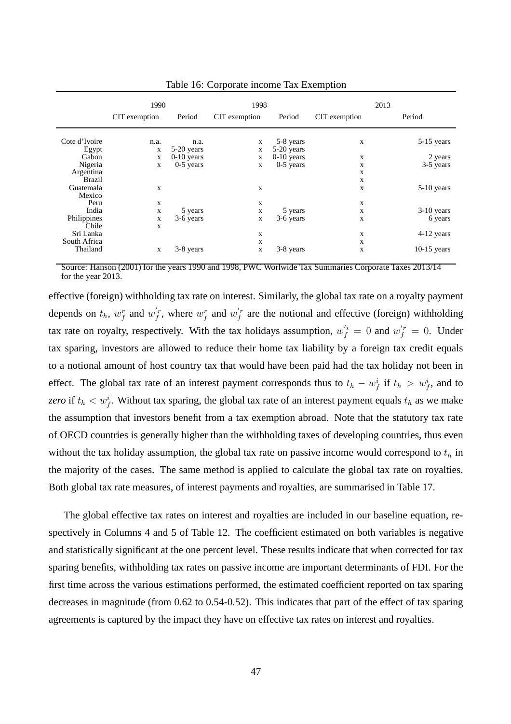|                        | 1990          |                      | 1998              |                         | 2013          |               |  |
|------------------------|---------------|----------------------|-------------------|-------------------------|---------------|---------------|--|
|                        | CIT exemption | Period               | CIT exemption     | Period                  | CIT exemption | Period        |  |
| Cote d'Ivoire<br>Egypt | n.a.<br>X     | n.a.<br>$5-20$ years | $\mathbf{X}$<br>X | 5-8 years<br>5-20 years | X             | $5-15$ years  |  |
| Gabon                  | X             | $0-10$ years         | X                 | $0-10$ years            | X             | 2 years       |  |
| Nigeria                | X             | $0-5$ years          | X                 | $0-5$ years             | X             | 3-5 years     |  |
| Argentina              |               |                      |                   |                         | X             |               |  |
| <b>Brazil</b>          |               |                      |                   |                         | X             |               |  |
| Guatemala              | $\mathbf{X}$  |                      | X                 |                         | X             | $5-10$ years  |  |
| Mexico                 |               |                      |                   |                         |               |               |  |
| Peru                   | $\mathbf{X}$  |                      | X                 |                         | X             |               |  |
| India                  | $\mathbf X$   | 5 years              | X                 | 5 years                 | X             | $3-10$ years  |  |
| Philippines            | $\mathbf X$   | 3-6 years            | X                 | 3-6 years               | X             | 6 years       |  |
| Chile                  | X             |                      |                   |                         |               |               |  |
| Sri Lanka              |               |                      | X                 |                         | X             | 4-12 years    |  |
| South Africa           |               |                      | X                 |                         | X             |               |  |
| Thailand               | $\mathbf X$   | 3-8 years            | X                 | 3-8 years               | X             | $10-15$ years |  |

Table 16: Corporate income Tax Exemption

Source: Hanson (2001) for the years 1990 and 1998, PWC Worlwide Tax Summaries Corporate Taxes 2013/14 for the year 2013.

effective (foreign) withholding tax rate on interest. Similarly, the global tax rate on a royalty payment depends on  $t_h$ ,  $w_f^r$  and  $w_f^{'r}$ , where  $w_f^r$  and  $w_f^{'r}$  are the notional and effective (foreign) withholding tax rate on royalty, respectively. With the tax holidays assumption,  $w_f^{i} = 0$  and  $w_f^{i} = 0$ . Under tax sparing, investors are allowed to reduce their home tax liability by a foreign tax credit equals to a notional amount of host country tax that would have been paid had the tax holiday not been in effect. The global tax rate of an interest payment corresponds thus to  $t_h - w_f^i$  if  $t_h > w_f^i$ , and to *zero* if  $t_h < w_f^i$ . Without tax sparing, the global tax rate of an interest payment equals  $t_h$  as we make the assumption that investors benefit from a tax exemption abroad. Note that the statutory tax rate of OECD countries is generally higher than the withholding taxes of developing countries, thus even without the tax holiday assumption, the global tax rate on passive income would correspond to  $t<sub>h</sub>$  in the majority of the cases. The same method is applied to calculate the global tax rate on royalties. Both global tax rate measures, of interest payments and royalties, are summarised in Table 17.

The global effective tax rates on interest and royalties are included in our baseline equation, respectively in Columns 4 and 5 of Table 12. The coefficient estimated on both variables is negative and statistically significant at the one percent level. These results indicate that when corrected for tax sparing benefits, withholding tax rates on passive income are important determinants of FDI. For the first time across the various estimations performed, the estimated coefficient reported on tax sparing decreases in magnitude (from 0.62 to 0.54-0.52). This indicates that part of the effect of tax sparing agreements is captured by the impact they have on effective tax rates on interest and royalties.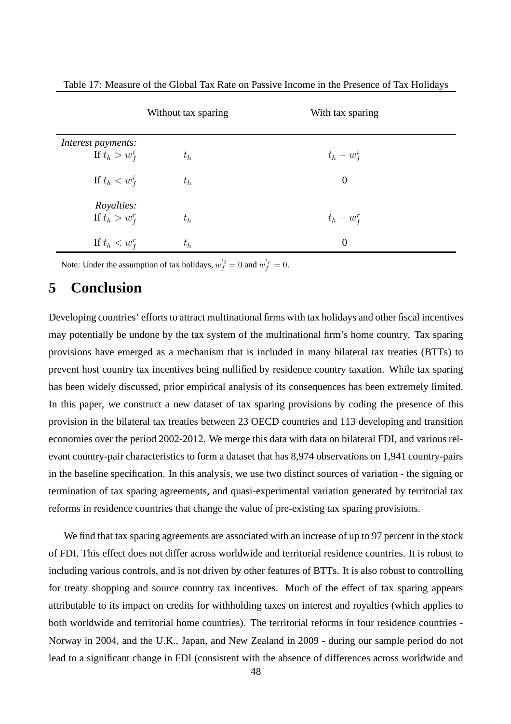|                    | Without tax sparing | With tax sparing |
|--------------------|---------------------|------------------|
| Interest payments: |                     |                  |
| If $t_h > w_f^i$   | $t_h$               | $t_h-w_f^i$      |
| If $t_h < w_f^i$   | $t_h$               | $\overline{0}$   |
| <i>Royalties:</i>  |                     |                  |
| If $t_h > w_f^r$   | $t_h$               | $t_h - w_f^r$    |
| If $t_h < w_f^r$   | $t_h$               | $\theta$         |

Table 17: Measure of the Global Tax Rate on Passive Income in the Presence of Tax Holidays

Note: Under the assumption of tax holidays,  $w_f^{'i} = 0$  and  $w_f^{'r} = 0$ .

# **5 Conclusion**

Developing countries' efforts to attract multinational firms with tax holidays and other fiscal incentives may potentially be undone by the tax system of the multinational firm's home country. Tax sparing provisions have emerged as a mechanism that is included in many bilateral tax treaties (BTTs) to prevent host country tax incentives being nullified by residence country taxation. While tax sparing has been widely discussed, prior empirical analysis of its consequences has been extremely limited. In this paper, we construct a new dataset of tax sparing provisions by coding the presence of this provision in the bilateral tax treaties between 23 OECD countries and 113 developing and transition economies over the period 2002-2012. We merge this data with data on bilateral FDI, and various relevant country-pair characteristics to form a dataset that has 8,974 observations on 1,941 country-pairs in the baseline specification. In this analysis, we use two distinct sources of variation - the signing or termination of tax sparing agreements, and quasi-experimental variation generated by territorial tax reforms in residence countries that change the value of pre-existing tax sparing provisions.

We find that tax sparing agreements are associated with an increase of up to 97 percent in the stock of FDI. This effect does not differ across worldwide and territorial residence countries. It is robust to including various controls, and is not driven by other features of BTTs. It is also robust to controlling for treaty shopping and source country tax incentives. Much of the effect of tax sparing appears attributable to its impact on credits for withholding taxes on interest and royalties (which applies to both worldwide and territorial home countries). The territorial reforms in four residence countries - Norway in 2004, and the U.K., Japan, and New Zealand in 2009 - during our sample period do not lead to a significant change in FDI (consistent with the absence of differences across worldwide and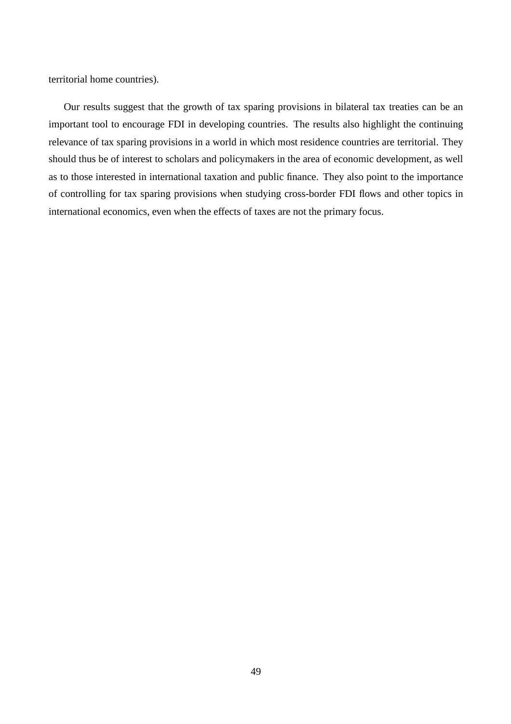territorial home countries).

Our results suggest that the growth of tax sparing provisions in bilateral tax treaties can be an important tool to encourage FDI in developing countries. The results also highlight the continuing relevance of tax sparing provisions in a world in which most residence countries are territorial. They should thus be of interest to scholars and policymakers in the area of economic development, as well as to those interested in international taxation and public finance. They also point to the importance of controlling for tax sparing provisions when studying cross-border FDI flows and other topics in international economics, even when the effects of taxes are not the primary focus.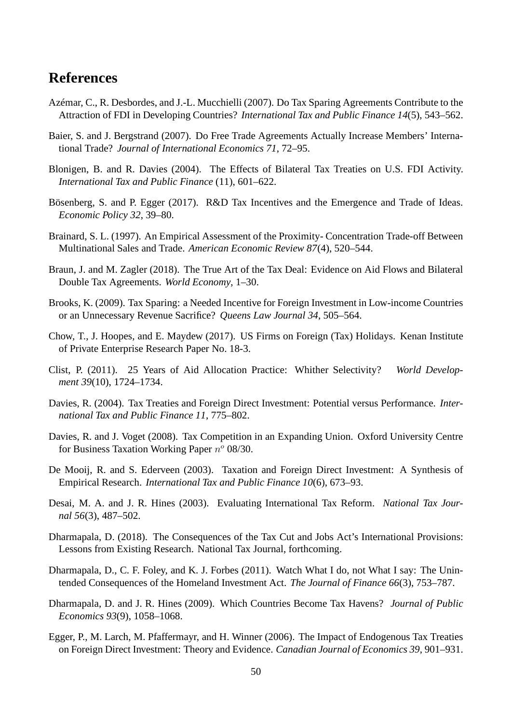# **References**

- Azémar, C., R. Desbordes, and J.-L. Mucchielli (2007). Do Tax Sparing Agreements Contribute to the Attraction of FDI in Developing Countries? *International Tax and Public Finance 14*(5), 543–562.
- Baier, S. and J. Bergstrand (2007). Do Free Trade Agreements Actually Increase Members' International Trade? *Journal of International Economics 71*, 72–95.
- Blonigen, B. and R. Davies (2004). The Effects of Bilateral Tax Treaties on U.S. FDI Activity. *International Tax and Public Finance* (11), 601–622.
- Bösenberg, S. and P. Egger (2017). R&D Tax Incentives and the Emergence and Trade of Ideas. *Economic Policy 32*, 39–80.
- Brainard, S. L. (1997). An Empirical Assessment of the Proximity- Concentration Trade-off Between Multinational Sales and Trade. *American Economic Review 87*(4), 520–544.
- Braun, J. and M. Zagler (2018). The True Art of the Tax Deal: Evidence on Aid Flows and Bilateral Double Tax Agreements. *World Economy*, 1–30.
- Brooks, K. (2009). Tax Sparing: a Needed Incentive for Foreign Investment in Low-income Countries or an Unnecessary Revenue Sacrifice? *Queens Law Journal 34*, 505–564.
- Chow, T., J. Hoopes, and E. Maydew (2017). US Firms on Foreign (Tax) Holidays. Kenan Institute of Private Enterprise Research Paper No. 18-3.
- Clist, P. (2011). 25 Years of Aid Allocation Practice: Whither Selectivity? *World Development 39*(10), 1724–1734.
- Davies, R. (2004). Tax Treaties and Foreign Direct Investment: Potential versus Performance. *International Tax and Public Finance 11*, 775–802.
- Davies, R. and J. Voget (2008). Tax Competition in an Expanding Union. Oxford University Centre for Business Taxation Working Paper  $n^o$  08/30.
- De Mooij, R. and S. Ederveen (2003). Taxation and Foreign Direct Investment: A Synthesis of Empirical Research. *International Tax and Public Finance 10*(6), 673–93.
- Desai, M. A. and J. R. Hines (2003). Evaluating International Tax Reform. *National Tax Journal 56*(3), 487–502.
- Dharmapala, D. (2018). The Consequences of the Tax Cut and Jobs Act's International Provisions: Lessons from Existing Research. National Tax Journal, forthcoming.
- Dharmapala, D., C. F. Foley, and K. J. Forbes (2011). Watch What I do, not What I say: The Unintended Consequences of the Homeland Investment Act. *The Journal of Finance 66*(3), 753–787.
- Dharmapala, D. and J. R. Hines (2009). Which Countries Become Tax Havens? *Journal of Public Economics 93*(9), 1058–1068.
- Egger, P., M. Larch, M. Pfaffermayr, and H. Winner (2006). The Impact of Endogenous Tax Treaties on Foreign Direct Investment: Theory and Evidence. *Canadian Journal of Economics 39*, 901–931.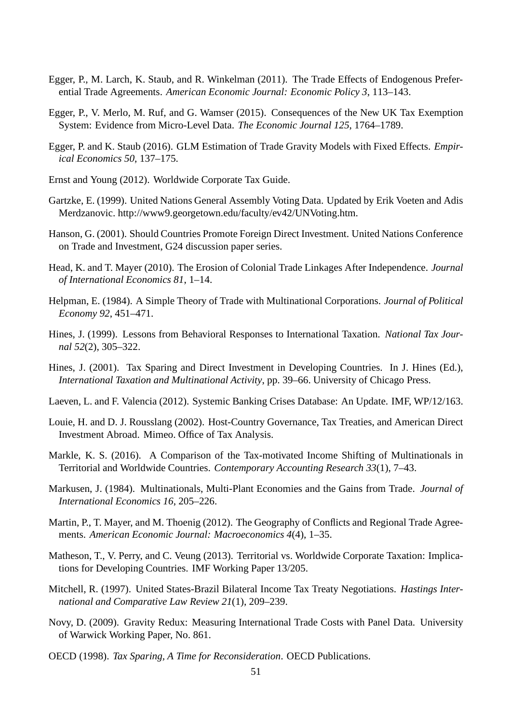- Egger, P., M. Larch, K. Staub, and R. Winkelman (2011). The Trade Effects of Endogenous Preferential Trade Agreements. *American Economic Journal: Economic Policy 3*, 113–143.
- Egger, P., V. Merlo, M. Ruf, and G. Wamser (2015). Consequences of the New UK Tax Exemption System: Evidence from Micro-Level Data. *The Economic Journal 125*, 1764–1789.
- Egger, P. and K. Staub (2016). GLM Estimation of Trade Gravity Models with Fixed Effects. *Empirical Economics 50*, 137–175.
- Ernst and Young (2012). Worldwide Corporate Tax Guide.
- Gartzke, E. (1999). United Nations General Assembly Voting Data. Updated by Erik Voeten and Adis Merdzanovic. http://www9.georgetown.edu/faculty/ev42/UNVoting.htm.
- Hanson, G. (2001). Should Countries Promote Foreign Direct Investment. United Nations Conference on Trade and Investment, G24 discussion paper series.
- Head, K. and T. Mayer (2010). The Erosion of Colonial Trade Linkages After Independence. *Journal of International Economics 81*, 1–14.
- Helpman, E. (1984). A Simple Theory of Trade with Multinational Corporations. *Journal of Political Economy 92*, 451–471.
- Hines, J. (1999). Lessons from Behavioral Responses to International Taxation. *National Tax Journal 52*(2), 305–322.
- Hines, J. (2001). Tax Sparing and Direct Investment in Developing Countries. In J. Hines (Ed.), *International Taxation and Multinational Activity*, pp. 39–66. University of Chicago Press.
- Laeven, L. and F. Valencia (2012). Systemic Banking Crises Database: An Update. IMF, WP/12/163.
- Louie, H. and D. J. Rousslang (2002). Host-Country Governance, Tax Treaties, and American Direct Investment Abroad. Mimeo. Office of Tax Analysis.
- Markle, K. S. (2016). A Comparison of the Tax-motivated Income Shifting of Multinationals in Territorial and Worldwide Countries. *Contemporary Accounting Research 33*(1), 7–43.
- Markusen, J. (1984). Multinationals, Multi-Plant Economies and the Gains from Trade. *Journal of International Economics 16*, 205–226.
- Martin, P., T. Mayer, and M. Thoenig (2012). The Geography of Conflicts and Regional Trade Agreements. *American Economic Journal: Macroeconomics 4*(4), 1–35.
- Matheson, T., V. Perry, and C. Veung (2013). Territorial vs. Worldwide Corporate Taxation: Implications for Developing Countries. IMF Working Paper 13/205.
- Mitchell, R. (1997). United States-Brazil Bilateral Income Tax Treaty Negotiations. *Hastings International and Comparative Law Review 21*(1), 209–239.
- Novy, D. (2009). Gravity Redux: Measuring International Trade Costs with Panel Data. University of Warwick Working Paper, No. 861.
- OECD (1998). *Tax Sparing, A Time for Reconsideration*. OECD Publications.